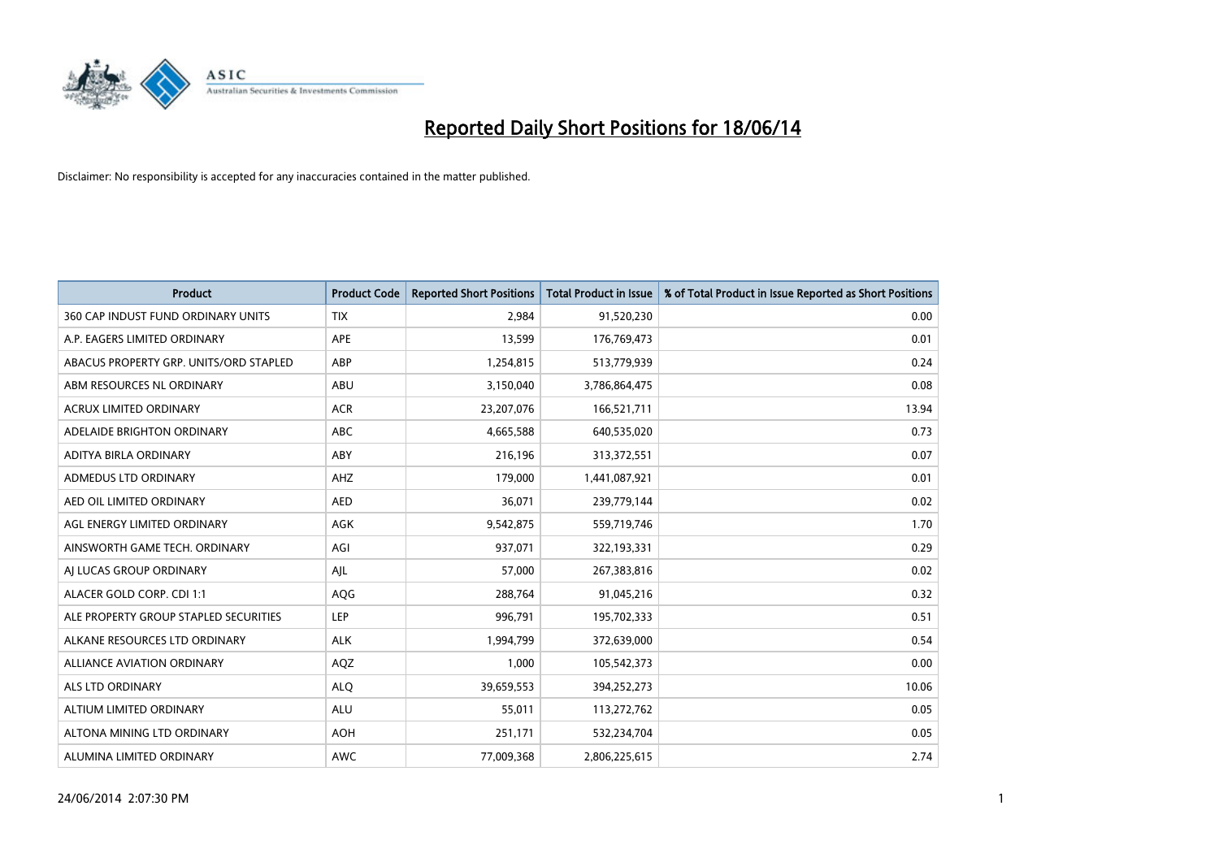

| <b>Product</b>                         | <b>Product Code</b> | <b>Reported Short Positions</b> | <b>Total Product in Issue</b> | % of Total Product in Issue Reported as Short Positions |
|----------------------------------------|---------------------|---------------------------------|-------------------------------|---------------------------------------------------------|
| 360 CAP INDUST FUND ORDINARY UNITS     | <b>TIX</b>          | 2,984                           | 91,520,230                    | 0.00                                                    |
| A.P. EAGERS LIMITED ORDINARY           | APE                 | 13,599                          | 176,769,473                   | 0.01                                                    |
| ABACUS PROPERTY GRP. UNITS/ORD STAPLED | ABP                 | 1,254,815                       | 513,779,939                   | 0.24                                                    |
| ABM RESOURCES NL ORDINARY              | ABU                 | 3,150,040                       | 3,786,864,475                 | 0.08                                                    |
| <b>ACRUX LIMITED ORDINARY</b>          | <b>ACR</b>          | 23,207,076                      | 166,521,711                   | 13.94                                                   |
| ADELAIDE BRIGHTON ORDINARY             | <b>ABC</b>          | 4,665,588                       | 640,535,020                   | 0.73                                                    |
| ADITYA BIRLA ORDINARY                  | ABY                 | 216,196                         | 313,372,551                   | 0.07                                                    |
| ADMEDUS LTD ORDINARY                   | AHZ                 | 179,000                         | 1,441,087,921                 | 0.01                                                    |
| AED OIL LIMITED ORDINARY               | <b>AED</b>          | 36,071                          | 239,779,144                   | 0.02                                                    |
| AGL ENERGY LIMITED ORDINARY            | <b>AGK</b>          | 9,542,875                       | 559,719,746                   | 1.70                                                    |
| AINSWORTH GAME TECH. ORDINARY          | AGI                 | 937,071                         | 322,193,331                   | 0.29                                                    |
| AI LUCAS GROUP ORDINARY                | AJL                 | 57,000                          | 267,383,816                   | 0.02                                                    |
| ALACER GOLD CORP. CDI 1:1              | AQG                 | 288,764                         | 91,045,216                    | 0.32                                                    |
| ALE PROPERTY GROUP STAPLED SECURITIES  | LEP                 | 996,791                         | 195,702,333                   | 0.51                                                    |
| ALKANE RESOURCES LTD ORDINARY          | <b>ALK</b>          | 1,994,799                       | 372,639,000                   | 0.54                                                    |
| ALLIANCE AVIATION ORDINARY             | AQZ                 | 1,000                           | 105,542,373                   | 0.00                                                    |
| ALS LTD ORDINARY                       | <b>ALQ</b>          | 39,659,553                      | 394,252,273                   | 10.06                                                   |
| ALTIUM LIMITED ORDINARY                | ALU                 | 55,011                          | 113,272,762                   | 0.05                                                    |
| ALTONA MINING LTD ORDINARY             | <b>AOH</b>          | 251,171                         | 532,234,704                   | 0.05                                                    |
| ALUMINA LIMITED ORDINARY               | <b>AWC</b>          | 77,009,368                      | 2,806,225,615                 | 2.74                                                    |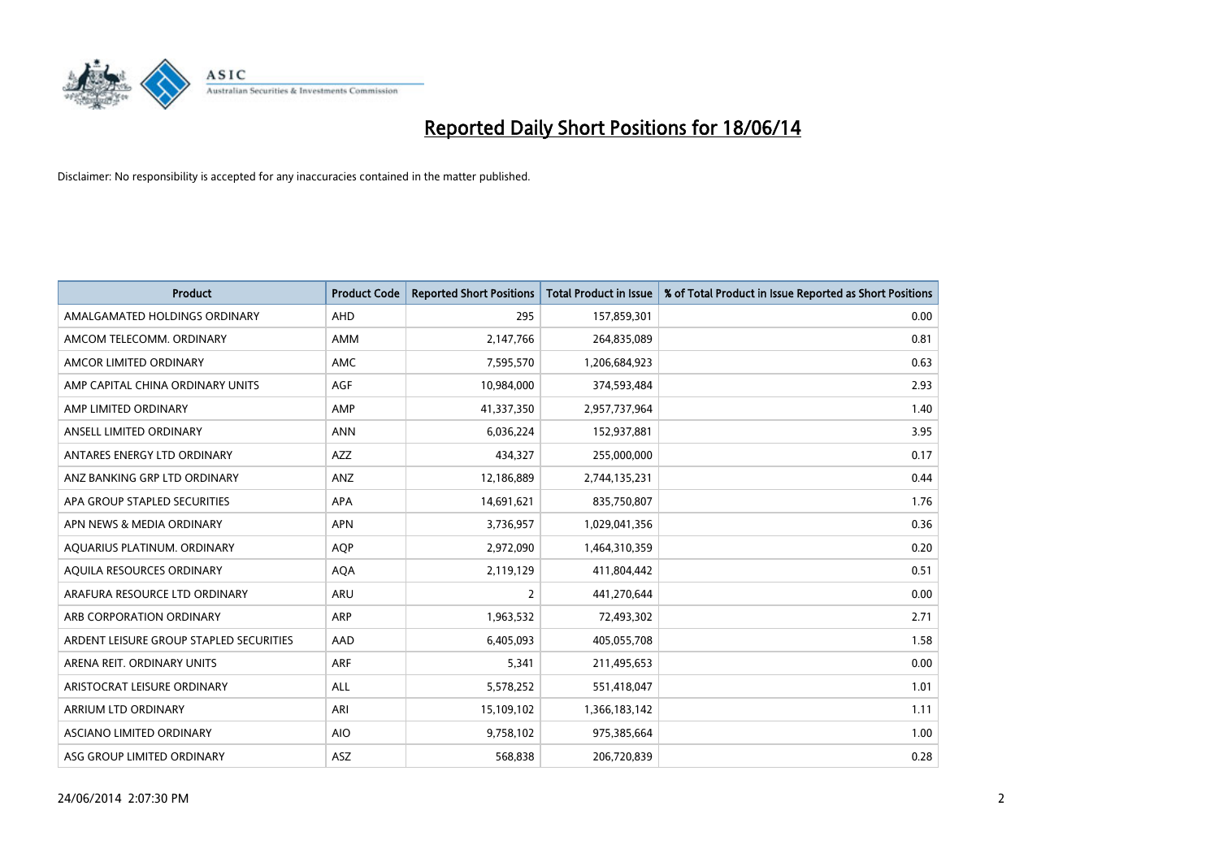

| <b>Product</b>                          | <b>Product Code</b> | <b>Reported Short Positions</b> | <b>Total Product in Issue</b> | % of Total Product in Issue Reported as Short Positions |
|-----------------------------------------|---------------------|---------------------------------|-------------------------------|---------------------------------------------------------|
| AMALGAMATED HOLDINGS ORDINARY           | AHD                 | 295                             | 157,859,301                   | 0.00                                                    |
| AMCOM TELECOMM, ORDINARY                | AMM                 | 2,147,766                       | 264,835,089                   | 0.81                                                    |
| AMCOR LIMITED ORDINARY                  | AMC                 | 7,595,570                       | 1,206,684,923                 | 0.63                                                    |
| AMP CAPITAL CHINA ORDINARY UNITS        | AGF                 | 10,984,000                      | 374,593,484                   | 2.93                                                    |
| AMP LIMITED ORDINARY                    | AMP                 | 41,337,350                      | 2,957,737,964                 | 1.40                                                    |
| ANSELL LIMITED ORDINARY                 | <b>ANN</b>          | 6,036,224                       | 152,937,881                   | 3.95                                                    |
| ANTARES ENERGY LTD ORDINARY             | AZZ                 | 434,327                         | 255,000,000                   | 0.17                                                    |
| ANZ BANKING GRP LTD ORDINARY            | ANZ                 | 12,186,889                      | 2,744,135,231                 | 0.44                                                    |
| APA GROUP STAPLED SECURITIES            | APA                 | 14,691,621                      | 835,750,807                   | 1.76                                                    |
| APN NEWS & MEDIA ORDINARY               | <b>APN</b>          | 3,736,957                       | 1,029,041,356                 | 0.36                                                    |
| AQUARIUS PLATINUM. ORDINARY             | AQP                 | 2,972,090                       | 1,464,310,359                 | 0.20                                                    |
| AQUILA RESOURCES ORDINARY               | <b>AQA</b>          | 2,119,129                       | 411,804,442                   | 0.51                                                    |
| ARAFURA RESOURCE LTD ORDINARY           | <b>ARU</b>          | $\overline{2}$                  | 441,270,644                   | 0.00                                                    |
| ARB CORPORATION ORDINARY                | ARP                 | 1,963,532                       | 72,493,302                    | 2.71                                                    |
| ARDENT LEISURE GROUP STAPLED SECURITIES | AAD                 | 6,405,093                       | 405,055,708                   | 1.58                                                    |
| ARENA REIT. ORDINARY UNITS              | <b>ARF</b>          | 5,341                           | 211,495,653                   | 0.00                                                    |
| ARISTOCRAT LEISURE ORDINARY             | ALL                 | 5,578,252                       | 551,418,047                   | 1.01                                                    |
| ARRIUM LTD ORDINARY                     | ARI                 | 15,109,102                      | 1,366,183,142                 | 1.11                                                    |
| ASCIANO LIMITED ORDINARY                | <b>AIO</b>          | 9,758,102                       | 975,385,664                   | 1.00                                                    |
| ASG GROUP LIMITED ORDINARY              | ASZ                 | 568,838                         | 206,720,839                   | 0.28                                                    |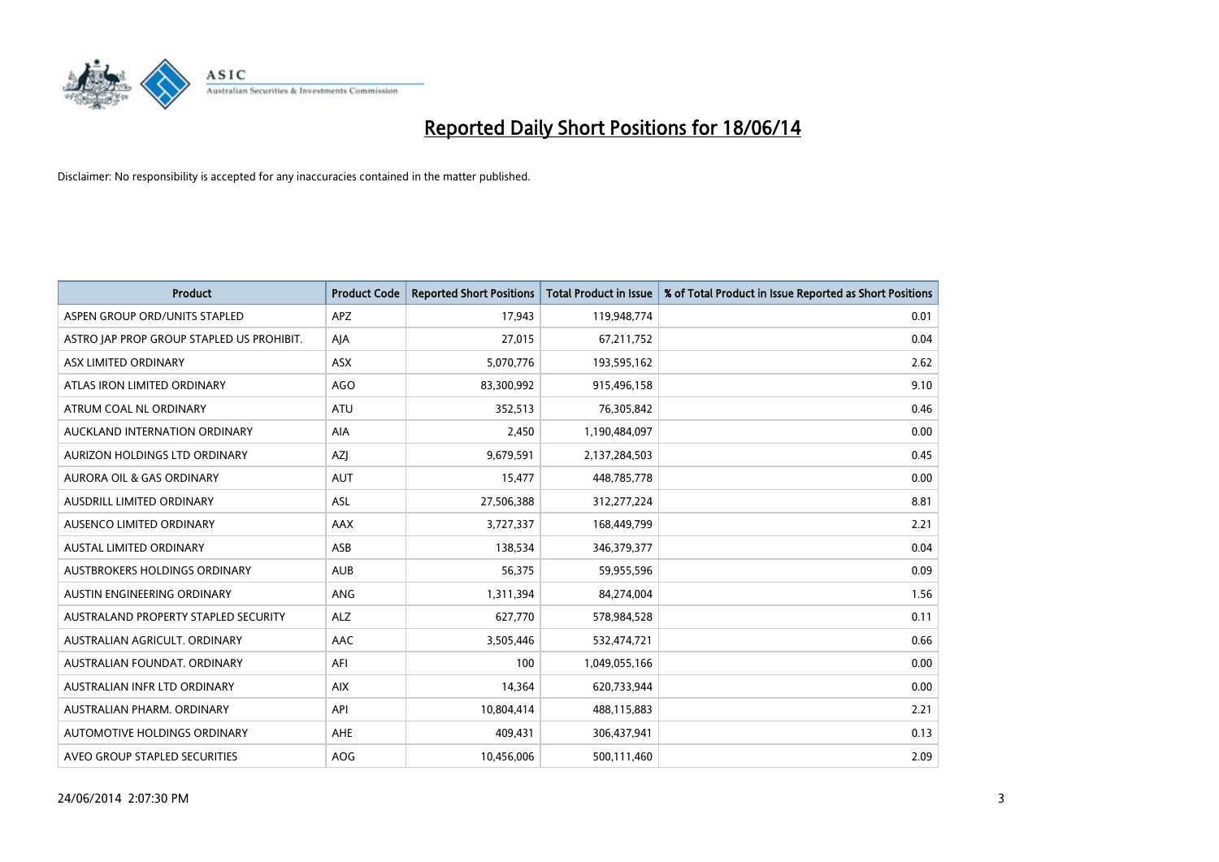

| <b>Product</b>                            | <b>Product Code</b> | <b>Reported Short Positions</b> | <b>Total Product in Issue</b> | % of Total Product in Issue Reported as Short Positions |
|-------------------------------------------|---------------------|---------------------------------|-------------------------------|---------------------------------------------------------|
| ASPEN GROUP ORD/UNITS STAPLED             | <b>APZ</b>          | 17,943                          | 119,948,774                   | 0.01                                                    |
| ASTRO JAP PROP GROUP STAPLED US PROHIBIT. | AJA                 | 27,015                          | 67,211,752                    | 0.04                                                    |
| ASX LIMITED ORDINARY                      | <b>ASX</b>          | 5,070,776                       | 193,595,162                   | 2.62                                                    |
| ATLAS IRON LIMITED ORDINARY               | AGO                 | 83,300,992                      | 915,496,158                   | 9.10                                                    |
| ATRUM COAL NL ORDINARY                    | ATU                 | 352,513                         | 76,305,842                    | 0.46                                                    |
| AUCKLAND INTERNATION ORDINARY             | <b>AIA</b>          | 2,450                           | 1,190,484,097                 | 0.00                                                    |
| AURIZON HOLDINGS LTD ORDINARY             | AZJ                 | 9,679,591                       | 2,137,284,503                 | 0.45                                                    |
| AURORA OIL & GAS ORDINARY                 | <b>AUT</b>          | 15,477                          | 448,785,778                   | 0.00                                                    |
| AUSDRILL LIMITED ORDINARY                 | <b>ASL</b>          | 27,506,388                      | 312,277,224                   | 8.81                                                    |
| AUSENCO LIMITED ORDINARY                  | AAX                 | 3,727,337                       | 168,449,799                   | 2.21                                                    |
| AUSTAL LIMITED ORDINARY                   | ASB                 | 138,534                         | 346,379,377                   | 0.04                                                    |
| AUSTBROKERS HOLDINGS ORDINARY             | <b>AUB</b>          | 56,375                          | 59,955,596                    | 0.09                                                    |
| AUSTIN ENGINEERING ORDINARY               | ANG                 | 1,311,394                       | 84,274,004                    | 1.56                                                    |
| AUSTRALAND PROPERTY STAPLED SECURITY      | <b>ALZ</b>          | 627,770                         | 578,984,528                   | 0.11                                                    |
| AUSTRALIAN AGRICULT, ORDINARY             | <b>AAC</b>          | 3,505,446                       | 532,474,721                   | 0.66                                                    |
| AUSTRALIAN FOUNDAT. ORDINARY              | AFI                 | 100                             | 1,049,055,166                 | 0.00                                                    |
| AUSTRALIAN INFR LTD ORDINARY              | <b>AIX</b>          | 14,364                          | 620,733,944                   | 0.00                                                    |
| AUSTRALIAN PHARM. ORDINARY                | API                 | 10,804,414                      | 488,115,883                   | 2.21                                                    |
| AUTOMOTIVE HOLDINGS ORDINARY              | AHE                 | 409,431                         | 306,437,941                   | 0.13                                                    |
| AVEO GROUP STAPLED SECURITIES             | AOG                 | 10,456,006                      | 500,111,460                   | 2.09                                                    |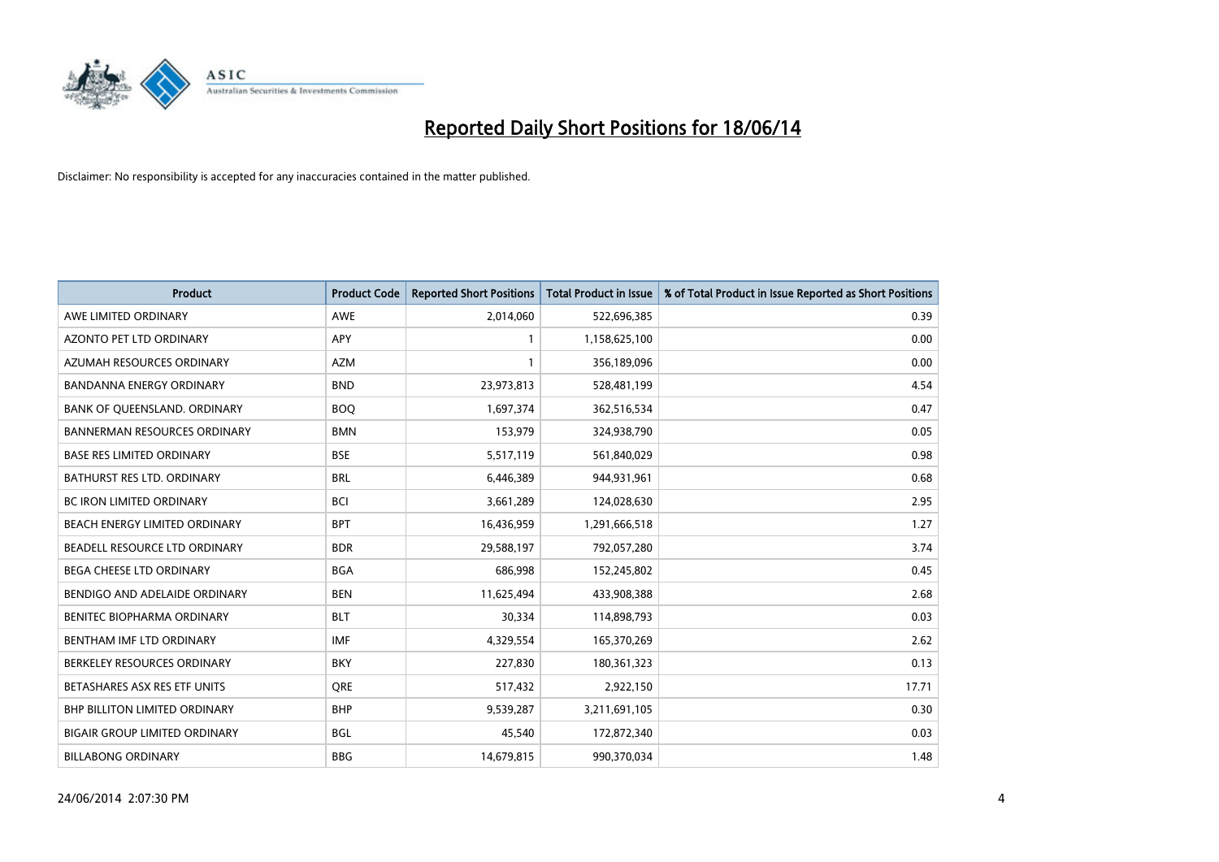

| <b>Product</b>                       | <b>Product Code</b> | <b>Reported Short Positions</b> | <b>Total Product in Issue</b> | % of Total Product in Issue Reported as Short Positions |
|--------------------------------------|---------------------|---------------------------------|-------------------------------|---------------------------------------------------------|
| AWE LIMITED ORDINARY                 | <b>AWE</b>          | 2,014,060                       | 522,696,385                   | 0.39                                                    |
| AZONTO PET LTD ORDINARY              | APY                 | $\mathbf{1}$                    | 1,158,625,100                 | 0.00                                                    |
| AZUMAH RESOURCES ORDINARY            | <b>AZM</b>          | $\mathbf{1}$                    | 356,189,096                   | 0.00                                                    |
| BANDANNA ENERGY ORDINARY             | <b>BND</b>          | 23,973,813                      | 528,481,199                   | 4.54                                                    |
| BANK OF QUEENSLAND. ORDINARY         | <b>BOQ</b>          | 1,697,374                       | 362,516,534                   | 0.47                                                    |
| <b>BANNERMAN RESOURCES ORDINARY</b>  | <b>BMN</b>          | 153,979                         | 324,938,790                   | 0.05                                                    |
| <b>BASE RES LIMITED ORDINARY</b>     | <b>BSE</b>          | 5,517,119                       | 561,840,029                   | 0.98                                                    |
| BATHURST RES LTD. ORDINARY           | <b>BRL</b>          | 6,446,389                       | 944,931,961                   | 0.68                                                    |
| <b>BC IRON LIMITED ORDINARY</b>      | <b>BCI</b>          | 3,661,289                       | 124,028,630                   | 2.95                                                    |
| BEACH ENERGY LIMITED ORDINARY        | <b>BPT</b>          | 16,436,959                      | 1,291,666,518                 | 1.27                                                    |
| BEADELL RESOURCE LTD ORDINARY        | <b>BDR</b>          | 29,588,197                      | 792,057,280                   | 3.74                                                    |
| <b>BEGA CHEESE LTD ORDINARY</b>      | <b>BGA</b>          | 686,998                         | 152,245,802                   | 0.45                                                    |
| BENDIGO AND ADELAIDE ORDINARY        | <b>BEN</b>          | 11,625,494                      | 433,908,388                   | 2.68                                                    |
| BENITEC BIOPHARMA ORDINARY           | <b>BLT</b>          | 30,334                          | 114,898,793                   | 0.03                                                    |
| BENTHAM IMF LTD ORDINARY             | <b>IMF</b>          | 4,329,554                       | 165,370,269                   | 2.62                                                    |
| BERKELEY RESOURCES ORDINARY          | <b>BKY</b>          | 227,830                         | 180,361,323                   | 0.13                                                    |
| BETASHARES ASX RES ETF UNITS         | <b>ORE</b>          | 517,432                         | 2,922,150                     | 17.71                                                   |
| <b>BHP BILLITON LIMITED ORDINARY</b> | <b>BHP</b>          | 9,539,287                       | 3,211,691,105                 | 0.30                                                    |
| <b>BIGAIR GROUP LIMITED ORDINARY</b> | <b>BGL</b>          | 45,540                          | 172,872,340                   | 0.03                                                    |
| <b>BILLABONG ORDINARY</b>            | <b>BBG</b>          | 14,679,815                      | 990,370,034                   | 1.48                                                    |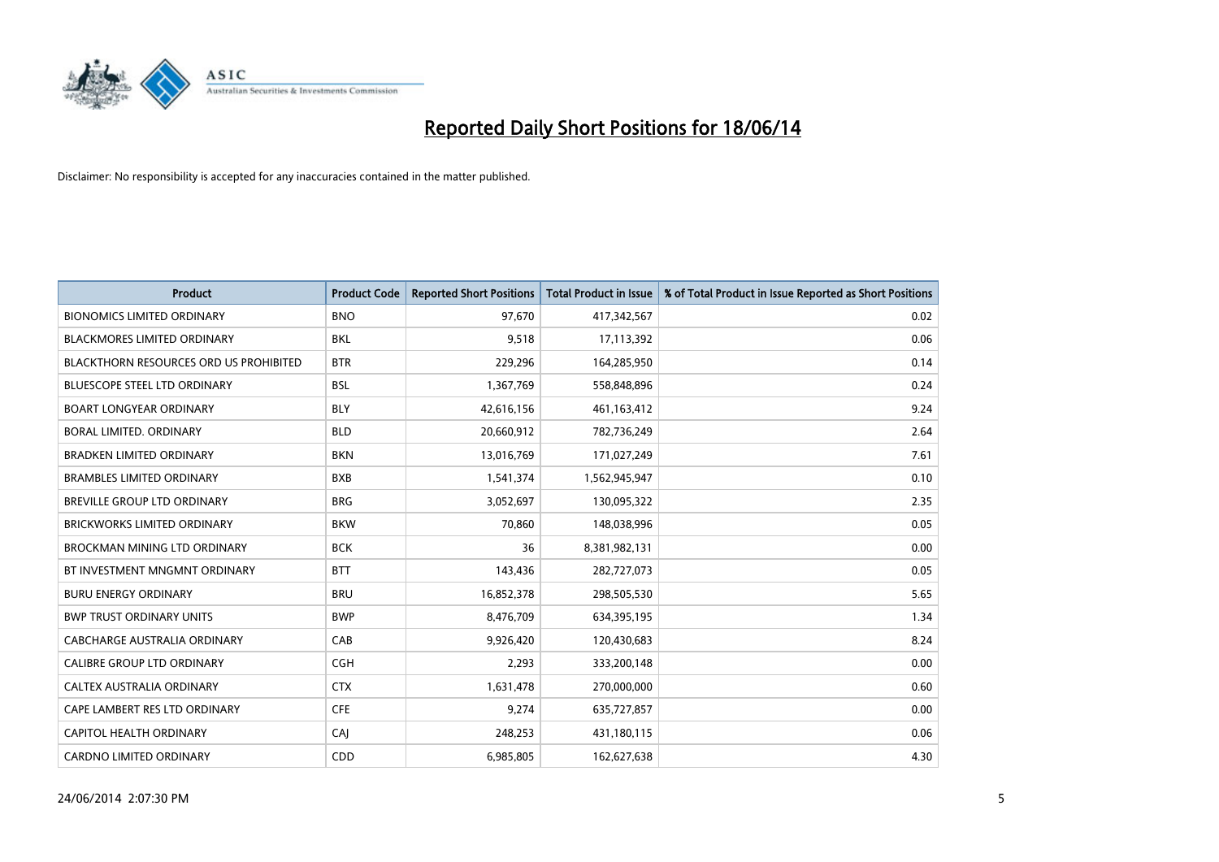

| <b>Product</b>                                | <b>Product Code</b> | <b>Reported Short Positions</b> | <b>Total Product in Issue</b> | % of Total Product in Issue Reported as Short Positions |
|-----------------------------------------------|---------------------|---------------------------------|-------------------------------|---------------------------------------------------------|
| <b>BIONOMICS LIMITED ORDINARY</b>             | <b>BNO</b>          | 97,670                          | 417,342,567                   | 0.02                                                    |
| BLACKMORES LIMITED ORDINARY                   | BKL                 | 9,518                           | 17,113,392                    | 0.06                                                    |
| <b>BLACKTHORN RESOURCES ORD US PROHIBITED</b> | <b>BTR</b>          | 229,296                         | 164,285,950                   | 0.14                                                    |
| <b>BLUESCOPE STEEL LTD ORDINARY</b>           | <b>BSL</b>          | 1,367,769                       | 558,848,896                   | 0.24                                                    |
| <b>BOART LONGYEAR ORDINARY</b>                | <b>BLY</b>          | 42,616,156                      | 461,163,412                   | 9.24                                                    |
| <b>BORAL LIMITED, ORDINARY</b>                | <b>BLD</b>          | 20,660,912                      | 782,736,249                   | 2.64                                                    |
| <b>BRADKEN LIMITED ORDINARY</b>               | <b>BKN</b>          | 13,016,769                      | 171,027,249                   | 7.61                                                    |
| <b>BRAMBLES LIMITED ORDINARY</b>              | <b>BXB</b>          | 1,541,374                       | 1,562,945,947                 | 0.10                                                    |
| <b>BREVILLE GROUP LTD ORDINARY</b>            | <b>BRG</b>          | 3,052,697                       | 130,095,322                   | 2.35                                                    |
| <b>BRICKWORKS LIMITED ORDINARY</b>            | <b>BKW</b>          | 70,860                          | 148,038,996                   | 0.05                                                    |
| BROCKMAN MINING LTD ORDINARY                  | <b>BCK</b>          | 36                              | 8,381,982,131                 | 0.00                                                    |
| BT INVESTMENT MNGMNT ORDINARY                 | <b>BTT</b>          | 143,436                         | 282,727,073                   | 0.05                                                    |
| <b>BURU ENERGY ORDINARY</b>                   | <b>BRU</b>          | 16,852,378                      | 298,505,530                   | 5.65                                                    |
| <b>BWP TRUST ORDINARY UNITS</b>               | <b>BWP</b>          | 8,476,709                       | 634,395,195                   | 1.34                                                    |
| <b>CABCHARGE AUSTRALIA ORDINARY</b>           | CAB                 | 9,926,420                       | 120,430,683                   | 8.24                                                    |
| CALIBRE GROUP LTD ORDINARY                    | <b>CGH</b>          | 2,293                           | 333,200,148                   | 0.00                                                    |
| CALTEX AUSTRALIA ORDINARY                     | <b>CTX</b>          | 1,631,478                       | 270,000,000                   | 0.60                                                    |
| CAPE LAMBERT RES LTD ORDINARY                 | <b>CFE</b>          | 9,274                           | 635,727,857                   | 0.00                                                    |
| <b>CAPITOL HEALTH ORDINARY</b>                | CAJ                 | 248,253                         | 431,180,115                   | 0.06                                                    |
| <b>CARDNO LIMITED ORDINARY</b>                | CDD                 | 6,985,805                       | 162,627,638                   | 4.30                                                    |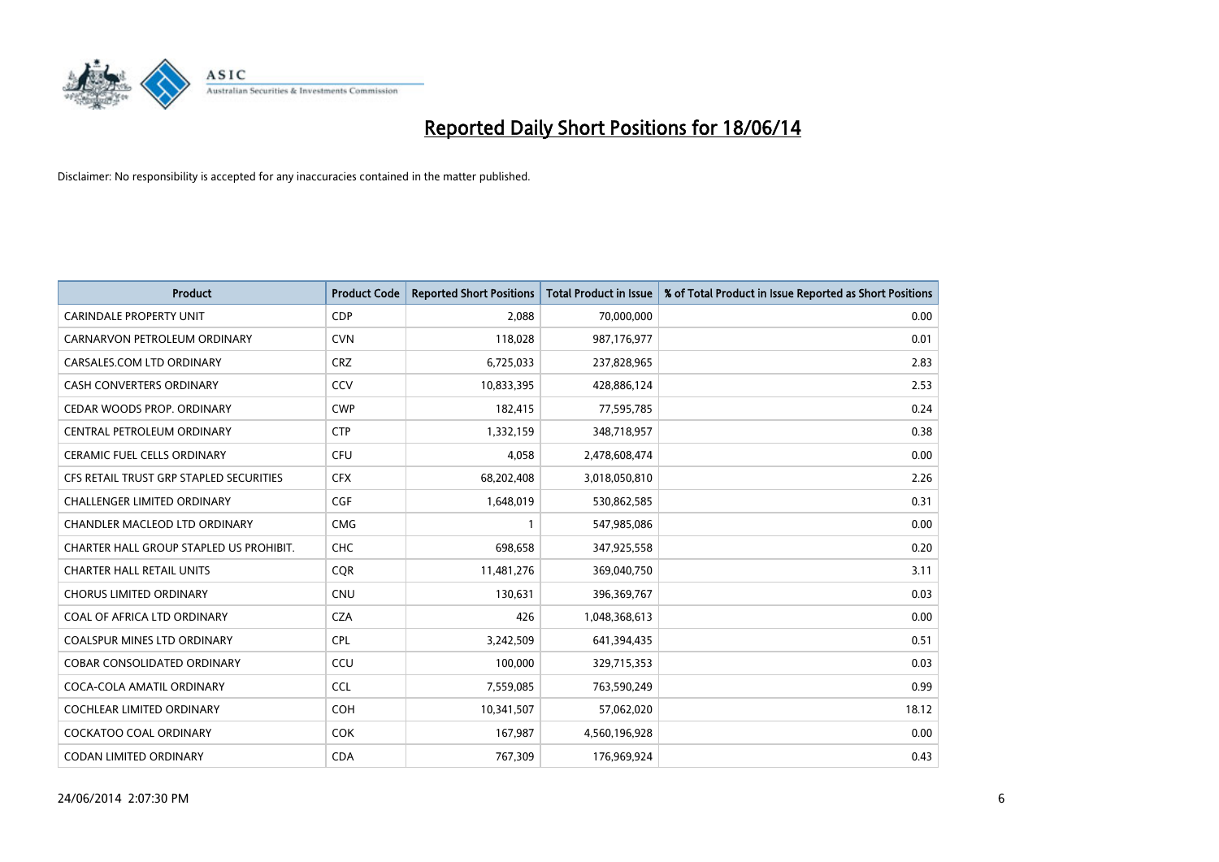

| <b>Product</b>                          | <b>Product Code</b> | <b>Reported Short Positions</b> | <b>Total Product in Issue</b> | % of Total Product in Issue Reported as Short Positions |
|-----------------------------------------|---------------------|---------------------------------|-------------------------------|---------------------------------------------------------|
| <b>CARINDALE PROPERTY UNIT</b>          | <b>CDP</b>          | 2,088                           | 70,000,000                    | 0.00                                                    |
| CARNARVON PETROLEUM ORDINARY            | <b>CVN</b>          | 118,028                         | 987,176,977                   | 0.01                                                    |
| CARSALES.COM LTD ORDINARY               | <b>CRZ</b>          | 6,725,033                       | 237,828,965                   | 2.83                                                    |
| CASH CONVERTERS ORDINARY                | CCV                 | 10,833,395                      | 428,886,124                   | 2.53                                                    |
| CEDAR WOODS PROP. ORDINARY              | <b>CWP</b>          | 182,415                         | 77,595,785                    | 0.24                                                    |
| CENTRAL PETROLEUM ORDINARY              | <b>CTP</b>          | 1,332,159                       | 348,718,957                   | 0.38                                                    |
| CERAMIC FUEL CELLS ORDINARY             | <b>CFU</b>          | 4,058                           | 2,478,608,474                 | 0.00                                                    |
| CFS RETAIL TRUST GRP STAPLED SECURITIES | <b>CFX</b>          | 68,202,408                      | 3,018,050,810                 | 2.26                                                    |
| <b>CHALLENGER LIMITED ORDINARY</b>      | <b>CGF</b>          | 1,648,019                       | 530,862,585                   | 0.31                                                    |
| CHANDLER MACLEOD LTD ORDINARY           | <b>CMG</b>          | $\mathbf{1}$                    | 547,985,086                   | 0.00                                                    |
| CHARTER HALL GROUP STAPLED US PROHIBIT. | <b>CHC</b>          | 698,658                         | 347,925,558                   | 0.20                                                    |
| <b>CHARTER HALL RETAIL UNITS</b>        | <b>CQR</b>          | 11,481,276                      | 369,040,750                   | 3.11                                                    |
| <b>CHORUS LIMITED ORDINARY</b>          | <b>CNU</b>          | 130,631                         | 396,369,767                   | 0.03                                                    |
| COAL OF AFRICA LTD ORDINARY             | <b>CZA</b>          | 426                             | 1,048,368,613                 | 0.00                                                    |
| <b>COALSPUR MINES LTD ORDINARY</b>      | <b>CPL</b>          | 3,242,509                       | 641,394,435                   | 0.51                                                    |
| <b>COBAR CONSOLIDATED ORDINARY</b>      | CCU                 | 100,000                         | 329,715,353                   | 0.03                                                    |
| COCA-COLA AMATIL ORDINARY               | <b>CCL</b>          | 7,559,085                       | 763,590,249                   | 0.99                                                    |
| COCHLEAR LIMITED ORDINARY               | <b>COH</b>          | 10,341,507                      | 57,062,020                    | 18.12                                                   |
| <b>COCKATOO COAL ORDINARY</b>           | <b>COK</b>          | 167,987                         | 4,560,196,928                 | 0.00                                                    |
| CODAN LIMITED ORDINARY                  | <b>CDA</b>          | 767,309                         | 176,969,924                   | 0.43                                                    |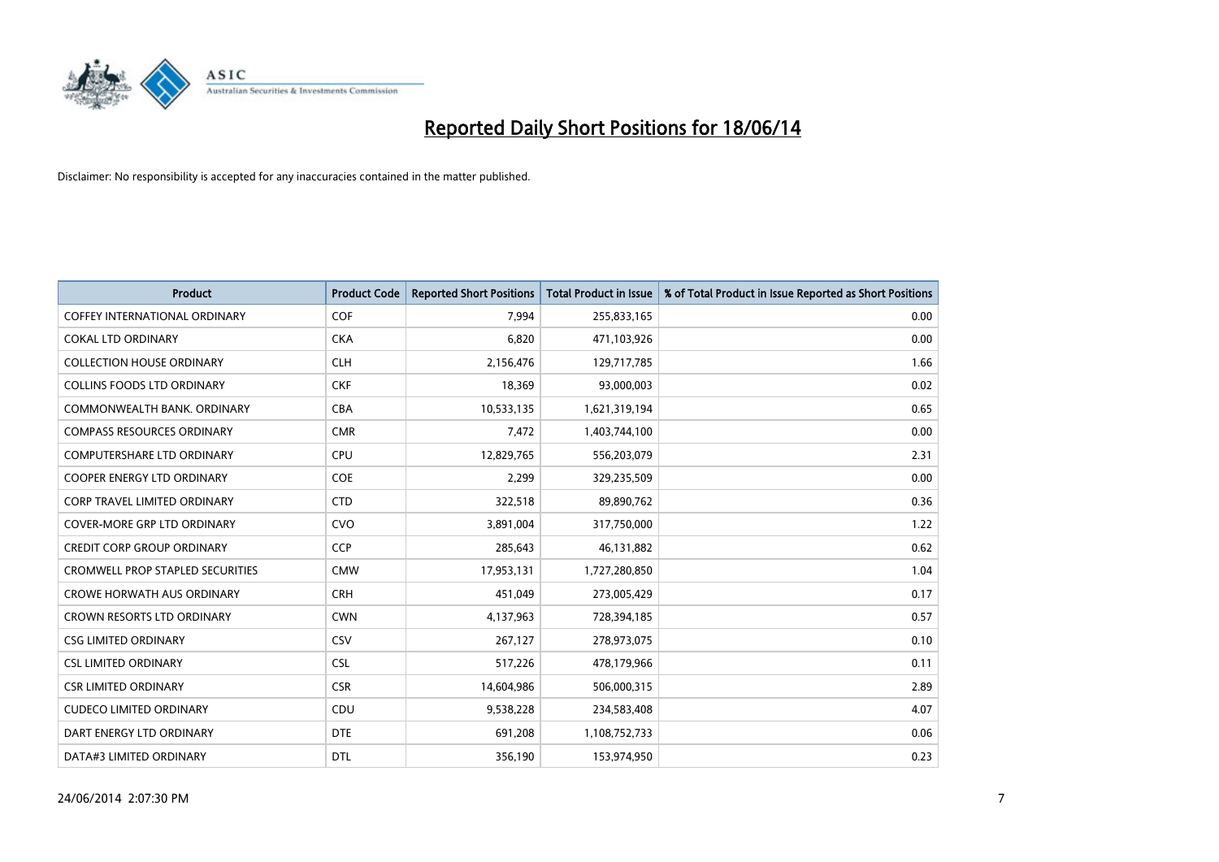

| <b>Product</b>                          | <b>Product Code</b> | <b>Reported Short Positions</b> | <b>Total Product in Issue</b> | % of Total Product in Issue Reported as Short Positions |
|-----------------------------------------|---------------------|---------------------------------|-------------------------------|---------------------------------------------------------|
| COFFEY INTERNATIONAL ORDINARY           | <b>COF</b>          | 7,994                           | 255,833,165                   | 0.00                                                    |
| <b>COKAL LTD ORDINARY</b>               | <b>CKA</b>          | 6,820                           | 471,103,926                   | 0.00                                                    |
| <b>COLLECTION HOUSE ORDINARY</b>        | <b>CLH</b>          | 2,156,476                       | 129,717,785                   | 1.66                                                    |
| COLLINS FOODS LTD ORDINARY              | <b>CKF</b>          | 18,369                          | 93,000,003                    | 0.02                                                    |
| COMMONWEALTH BANK, ORDINARY             | <b>CBA</b>          | 10,533,135                      | 1,621,319,194                 | 0.65                                                    |
| <b>COMPASS RESOURCES ORDINARY</b>       | <b>CMR</b>          | 7,472                           | 1,403,744,100                 | 0.00                                                    |
| <b>COMPUTERSHARE LTD ORDINARY</b>       | <b>CPU</b>          | 12,829,765                      | 556,203,079                   | 2.31                                                    |
| <b>COOPER ENERGY LTD ORDINARY</b>       | <b>COE</b>          | 2,299                           | 329,235,509                   | 0.00                                                    |
| CORP TRAVEL LIMITED ORDINARY            | <b>CTD</b>          | 322,518                         | 89,890,762                    | 0.36                                                    |
| <b>COVER-MORE GRP LTD ORDINARY</b>      | <b>CVO</b>          | 3,891,004                       | 317,750,000                   | 1.22                                                    |
| <b>CREDIT CORP GROUP ORDINARY</b>       | <b>CCP</b>          | 285,643                         | 46,131,882                    | 0.62                                                    |
| <b>CROMWELL PROP STAPLED SECURITIES</b> | <b>CMW</b>          | 17,953,131                      | 1,727,280,850                 | 1.04                                                    |
| CROWE HORWATH AUS ORDINARY              | <b>CRH</b>          | 451,049                         | 273,005,429                   | 0.17                                                    |
| <b>CROWN RESORTS LTD ORDINARY</b>       | <b>CWN</b>          | 4,137,963                       | 728,394,185                   | 0.57                                                    |
| <b>CSG LIMITED ORDINARY</b>             | CSV                 | 267,127                         | 278,973,075                   | 0.10                                                    |
| <b>CSL LIMITED ORDINARY</b>             | <b>CSL</b>          | 517,226                         | 478,179,966                   | 0.11                                                    |
| <b>CSR LIMITED ORDINARY</b>             | <b>CSR</b>          | 14,604,986                      | 506,000,315                   | 2.89                                                    |
| <b>CUDECO LIMITED ORDINARY</b>          | CDU                 | 9,538,228                       | 234,583,408                   | 4.07                                                    |
| DART ENERGY LTD ORDINARY                | <b>DTE</b>          | 691,208                         | 1,108,752,733                 | 0.06                                                    |
| DATA#3 LIMITED ORDINARY                 | <b>DTL</b>          | 356,190                         | 153,974,950                   | 0.23                                                    |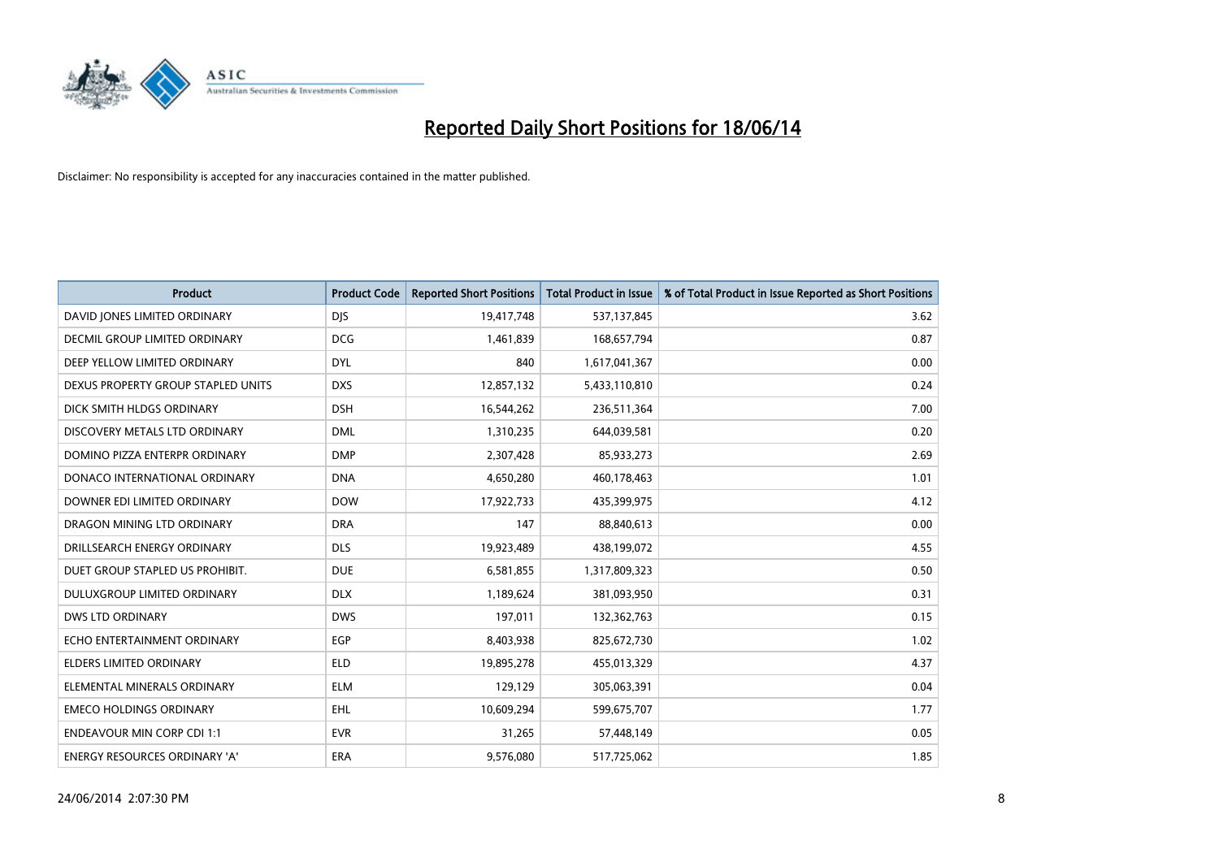

| <b>Product</b>                       | <b>Product Code</b> | <b>Reported Short Positions</b> | <b>Total Product in Issue</b> | % of Total Product in Issue Reported as Short Positions |
|--------------------------------------|---------------------|---------------------------------|-------------------------------|---------------------------------------------------------|
| DAVID JONES LIMITED ORDINARY         | <b>DJS</b>          | 19,417,748                      | 537,137,845                   | 3.62                                                    |
| DECMIL GROUP LIMITED ORDINARY        | <b>DCG</b>          | 1,461,839                       | 168,657,794                   | 0.87                                                    |
| DEEP YELLOW LIMITED ORDINARY         | <b>DYL</b>          | 840                             | 1,617,041,367                 | 0.00                                                    |
| DEXUS PROPERTY GROUP STAPLED UNITS   | <b>DXS</b>          | 12,857,132                      | 5,433,110,810                 | 0.24                                                    |
| DICK SMITH HLDGS ORDINARY            | <b>DSH</b>          | 16,544,262                      | 236,511,364                   | 7.00                                                    |
| DISCOVERY METALS LTD ORDINARY        | <b>DML</b>          | 1,310,235                       | 644,039,581                   | 0.20                                                    |
| DOMINO PIZZA ENTERPR ORDINARY        | <b>DMP</b>          | 2,307,428                       | 85,933,273                    | 2.69                                                    |
| DONACO INTERNATIONAL ORDINARY        | <b>DNA</b>          | 4,650,280                       | 460,178,463                   | 1.01                                                    |
| DOWNER EDI LIMITED ORDINARY          | <b>DOW</b>          | 17,922,733                      | 435,399,975                   | 4.12                                                    |
| DRAGON MINING LTD ORDINARY           | <b>DRA</b>          | 147                             | 88,840,613                    | 0.00                                                    |
| DRILLSEARCH ENERGY ORDINARY          | <b>DLS</b>          | 19,923,489                      | 438,199,072                   | 4.55                                                    |
| DUET GROUP STAPLED US PROHIBIT.      | <b>DUE</b>          | 6,581,855                       | 1,317,809,323                 | 0.50                                                    |
| DULUXGROUP LIMITED ORDINARY          | <b>DLX</b>          | 1,189,624                       | 381,093,950                   | 0.31                                                    |
| <b>DWS LTD ORDINARY</b>              | <b>DWS</b>          | 197,011                         | 132,362,763                   | 0.15                                                    |
| ECHO ENTERTAINMENT ORDINARY          | EGP                 | 8,403,938                       | 825,672,730                   | 1.02                                                    |
| ELDERS LIMITED ORDINARY              | <b>ELD</b>          | 19,895,278                      | 455,013,329                   | 4.37                                                    |
| ELEMENTAL MINERALS ORDINARY          | <b>ELM</b>          | 129,129                         | 305,063,391                   | 0.04                                                    |
| <b>EMECO HOLDINGS ORDINARY</b>       | <b>EHL</b>          | 10,609,294                      | 599,675,707                   | 1.77                                                    |
| <b>ENDEAVOUR MIN CORP CDI 1:1</b>    | <b>EVR</b>          | 31,265                          | 57,448,149                    | 0.05                                                    |
| <b>ENERGY RESOURCES ORDINARY 'A'</b> | ERA                 | 9,576,080                       | 517,725,062                   | 1.85                                                    |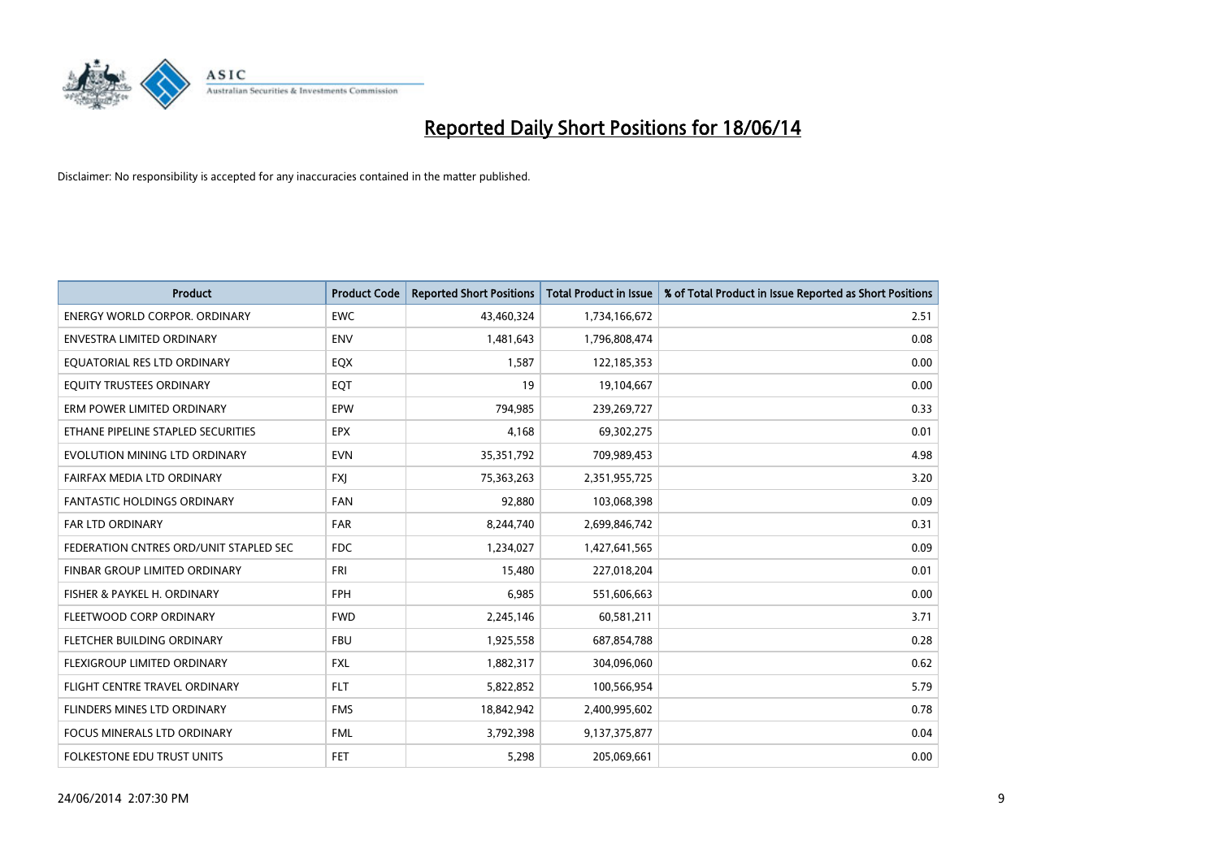

| <b>Product</b>                         | <b>Product Code</b> | <b>Reported Short Positions</b> | Total Product in Issue | % of Total Product in Issue Reported as Short Positions |
|----------------------------------------|---------------------|---------------------------------|------------------------|---------------------------------------------------------|
| <b>ENERGY WORLD CORPOR, ORDINARY</b>   | <b>EWC</b>          | 43,460,324                      | 1,734,166,672          | 2.51                                                    |
| <b>ENVESTRA LIMITED ORDINARY</b>       | <b>ENV</b>          | 1,481,643                       | 1,796,808,474          | 0.08                                                    |
| EQUATORIAL RES LTD ORDINARY            | EQX                 | 1,587                           | 122,185,353            | 0.00                                                    |
| EQUITY TRUSTEES ORDINARY               | EQT                 | 19                              | 19,104,667             | 0.00                                                    |
| ERM POWER LIMITED ORDINARY             | EPW                 | 794,985                         | 239,269,727            | 0.33                                                    |
| ETHANE PIPELINE STAPLED SECURITIES     | <b>EPX</b>          | 4,168                           | 69,302,275             | 0.01                                                    |
| EVOLUTION MINING LTD ORDINARY          | <b>EVN</b>          | 35, 351, 792                    | 709,989,453            | 4.98                                                    |
| FAIRFAX MEDIA LTD ORDINARY             | <b>FXI</b>          | 75,363,263                      | 2,351,955,725          | 3.20                                                    |
| FANTASTIC HOLDINGS ORDINARY            | <b>FAN</b>          | 92,880                          | 103,068,398            | 0.09                                                    |
| <b>FAR LTD ORDINARY</b>                | <b>FAR</b>          | 8,244,740                       | 2,699,846,742          | 0.31                                                    |
| FEDERATION CNTRES ORD/UNIT STAPLED SEC | <b>FDC</b>          | 1,234,027                       | 1,427,641,565          | 0.09                                                    |
| FINBAR GROUP LIMITED ORDINARY          | FRI                 | 15,480                          | 227,018,204            | 0.01                                                    |
| FISHER & PAYKEL H. ORDINARY            | <b>FPH</b>          | 6,985                           | 551,606,663            | 0.00                                                    |
| FLEETWOOD CORP ORDINARY                | <b>FWD</b>          | 2,245,146                       | 60,581,211             | 3.71                                                    |
| FLETCHER BUILDING ORDINARY             | <b>FBU</b>          | 1,925,558                       | 687,854,788            | 0.28                                                    |
| FLEXIGROUP LIMITED ORDINARY            | <b>FXL</b>          | 1,882,317                       | 304,096,060            | 0.62                                                    |
| FLIGHT CENTRE TRAVEL ORDINARY          | <b>FLT</b>          | 5,822,852                       | 100,566,954            | 5.79                                                    |
| FLINDERS MINES LTD ORDINARY            | <b>FMS</b>          | 18,842,942                      | 2,400,995,602          | 0.78                                                    |
| <b>FOCUS MINERALS LTD ORDINARY</b>     | <b>FML</b>          | 3,792,398                       | 9,137,375,877          | 0.04                                                    |
| <b>FOLKESTONE EDU TRUST UNITS</b>      | <b>FET</b>          | 5,298                           | 205,069,661            | 0.00                                                    |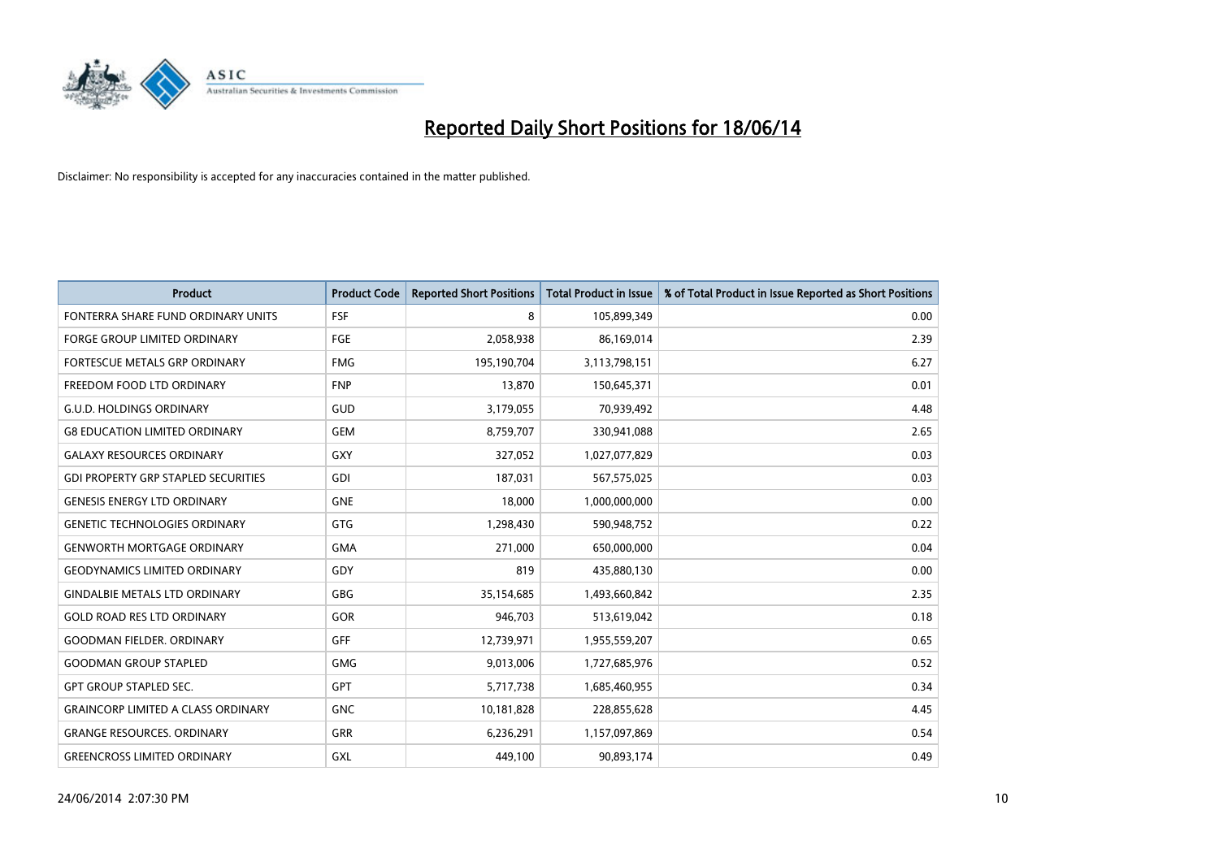

| <b>Product</b>                             | <b>Product Code</b> | <b>Reported Short Positions</b> | <b>Total Product in Issue</b> | % of Total Product in Issue Reported as Short Positions |
|--------------------------------------------|---------------------|---------------------------------|-------------------------------|---------------------------------------------------------|
| FONTERRA SHARE FUND ORDINARY UNITS         | <b>FSF</b>          | 8                               | 105,899,349                   | 0.00                                                    |
| <b>FORGE GROUP LIMITED ORDINARY</b>        | <b>FGE</b>          | 2,058,938                       | 86,169,014                    | 2.39                                                    |
| FORTESCUE METALS GRP ORDINARY              | <b>FMG</b>          | 195,190,704                     | 3,113,798,151                 | 6.27                                                    |
| FREEDOM FOOD LTD ORDINARY                  | <b>FNP</b>          | 13,870                          | 150,645,371                   | 0.01                                                    |
| <b>G.U.D. HOLDINGS ORDINARY</b>            | GUD                 | 3,179,055                       | 70,939,492                    | 4.48                                                    |
| <b>G8 EDUCATION LIMITED ORDINARY</b>       | <b>GEM</b>          | 8,759,707                       | 330,941,088                   | 2.65                                                    |
| <b>GALAXY RESOURCES ORDINARY</b>           | GXY                 | 327,052                         | 1,027,077,829                 | 0.03                                                    |
| <b>GDI PROPERTY GRP STAPLED SECURITIES</b> | <b>GDI</b>          | 187,031                         | 567,575,025                   | 0.03                                                    |
| <b>GENESIS ENERGY LTD ORDINARY</b>         | <b>GNE</b>          | 18,000                          | 1,000,000,000                 | 0.00                                                    |
| <b>GENETIC TECHNOLOGIES ORDINARY</b>       | <b>GTG</b>          | 1,298,430                       | 590,948,752                   | 0.22                                                    |
| <b>GENWORTH MORTGAGE ORDINARY</b>          | <b>GMA</b>          | 271,000                         | 650,000,000                   | 0.04                                                    |
| <b>GEODYNAMICS LIMITED ORDINARY</b>        | <b>GDY</b>          | 819                             | 435,880,130                   | 0.00                                                    |
| <b>GINDALBIE METALS LTD ORDINARY</b>       | <b>GBG</b>          | 35,154,685                      | 1,493,660,842                 | 2.35                                                    |
| <b>GOLD ROAD RES LTD ORDINARY</b>          | GOR                 | 946,703                         | 513,619,042                   | 0.18                                                    |
| <b>GOODMAN FIELDER, ORDINARY</b>           | <b>GFF</b>          | 12,739,971                      | 1,955,559,207                 | 0.65                                                    |
| <b>GOODMAN GROUP STAPLED</b>               | <b>GMG</b>          | 9,013,006                       | 1,727,685,976                 | 0.52                                                    |
| <b>GPT GROUP STAPLED SEC.</b>              | <b>GPT</b>          | 5,717,738                       | 1,685,460,955                 | 0.34                                                    |
| <b>GRAINCORP LIMITED A CLASS ORDINARY</b>  | <b>GNC</b>          | 10,181,828                      | 228,855,628                   | 4.45                                                    |
| <b>GRANGE RESOURCES, ORDINARY</b>          | <b>GRR</b>          | 6,236,291                       | 1,157,097,869                 | 0.54                                                    |
| <b>GREENCROSS LIMITED ORDINARY</b>         | GXL                 | 449,100                         | 90,893,174                    | 0.49                                                    |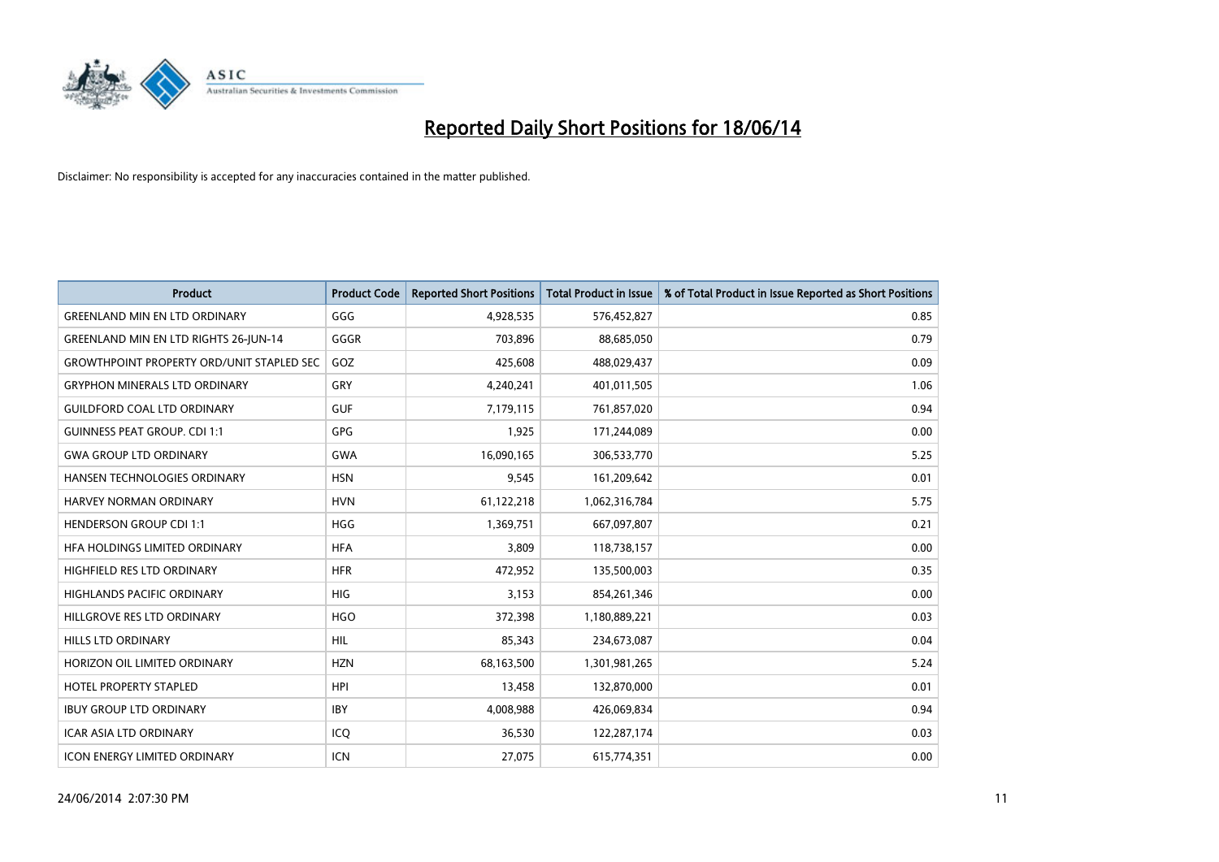

| <b>Product</b>                                   | <b>Product Code</b> | <b>Reported Short Positions</b> | <b>Total Product in Issue</b> | % of Total Product in Issue Reported as Short Positions |
|--------------------------------------------------|---------------------|---------------------------------|-------------------------------|---------------------------------------------------------|
| <b>GREENLAND MIN EN LTD ORDINARY</b>             | GGG                 | 4,928,535                       | 576,452,827                   | 0.85                                                    |
| <b>GREENLAND MIN EN LTD RIGHTS 26-JUN-14</b>     | GGGR                | 703,896                         | 88,685,050                    | 0.79                                                    |
| <b>GROWTHPOINT PROPERTY ORD/UNIT STAPLED SEC</b> | GOZ                 | 425,608                         | 488,029,437                   | 0.09                                                    |
| <b>GRYPHON MINERALS LTD ORDINARY</b>             | GRY                 | 4,240,241                       | 401,011,505                   | 1.06                                                    |
| <b>GUILDFORD COAL LTD ORDINARY</b>               | <b>GUF</b>          | 7,179,115                       | 761,857,020                   | 0.94                                                    |
| <b>GUINNESS PEAT GROUP. CDI 1:1</b>              | <b>GPG</b>          | 1,925                           | 171,244,089                   | 0.00                                                    |
| <b>GWA GROUP LTD ORDINARY</b>                    | <b>GWA</b>          | 16,090,165                      | 306,533,770                   | 5.25                                                    |
| HANSEN TECHNOLOGIES ORDINARY                     | <b>HSN</b>          | 9,545                           | 161,209,642                   | 0.01                                                    |
| <b>HARVEY NORMAN ORDINARY</b>                    | <b>HVN</b>          | 61,122,218                      | 1,062,316,784                 | 5.75                                                    |
| <b>HENDERSON GROUP CDI 1:1</b>                   | <b>HGG</b>          | 1,369,751                       | 667,097,807                   | 0.21                                                    |
| HFA HOLDINGS LIMITED ORDINARY                    | <b>HFA</b>          | 3,809                           | 118,738,157                   | 0.00                                                    |
| HIGHFIELD RES LTD ORDINARY                       | <b>HFR</b>          | 472,952                         | 135,500,003                   | 0.35                                                    |
| HIGHLANDS PACIFIC ORDINARY                       | <b>HIG</b>          | 3,153                           | 854,261,346                   | 0.00                                                    |
| HILLGROVE RES LTD ORDINARY                       | <b>HGO</b>          | 372,398                         | 1,180,889,221                 | 0.03                                                    |
| <b>HILLS LTD ORDINARY</b>                        | <b>HIL</b>          | 85,343                          | 234,673,087                   | 0.04                                                    |
| HORIZON OIL LIMITED ORDINARY                     | <b>HZN</b>          | 68,163,500                      | 1,301,981,265                 | 5.24                                                    |
| HOTEL PROPERTY STAPLED                           | <b>HPI</b>          | 13,458                          | 132,870,000                   | 0.01                                                    |
| <b>IBUY GROUP LTD ORDINARY</b>                   | <b>IBY</b>          | 4,008,988                       | 426,069,834                   | 0.94                                                    |
| <b>ICAR ASIA LTD ORDINARY</b>                    | ICO                 | 36,530                          | 122,287,174                   | 0.03                                                    |
| <b>ICON ENERGY LIMITED ORDINARY</b>              | ICN                 | 27,075                          | 615,774,351                   | 0.00                                                    |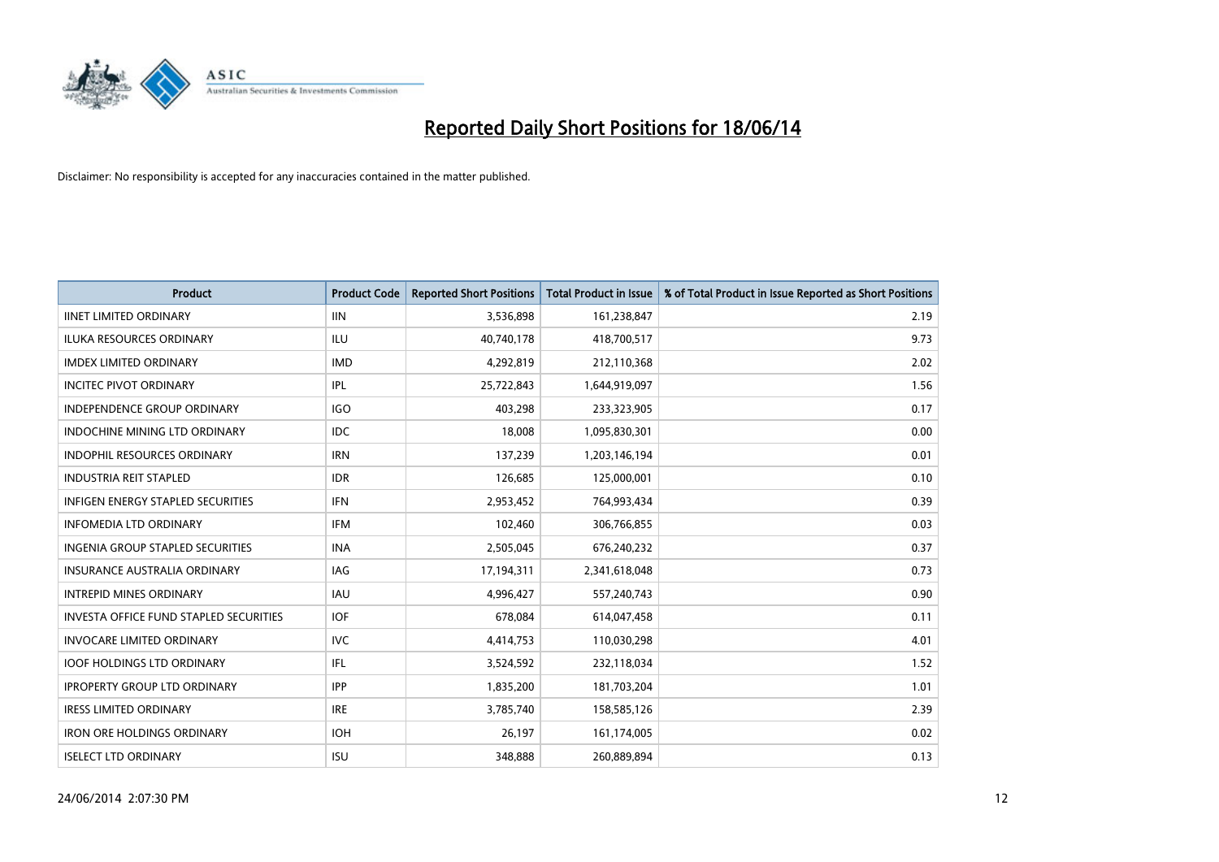

| <b>Product</b>                                | <b>Product Code</b> | <b>Reported Short Positions</b> | <b>Total Product in Issue</b> | % of Total Product in Issue Reported as Short Positions |
|-----------------------------------------------|---------------------|---------------------------------|-------------------------------|---------------------------------------------------------|
| <b>IINET LIMITED ORDINARY</b>                 | <b>IIN</b>          | 3,536,898                       | 161,238,847                   | 2.19                                                    |
| ILUKA RESOURCES ORDINARY                      | ILU                 | 40,740,178                      | 418,700,517                   | 9.73                                                    |
| <b>IMDEX LIMITED ORDINARY</b>                 | <b>IMD</b>          | 4,292,819                       | 212,110,368                   | 2.02                                                    |
| <b>INCITEC PIVOT ORDINARY</b>                 | IPL                 | 25,722,843                      | 1,644,919,097                 | 1.56                                                    |
| <b>INDEPENDENCE GROUP ORDINARY</b>            | <b>IGO</b>          | 403,298                         | 233,323,905                   | 0.17                                                    |
| <b>INDOCHINE MINING LTD ORDINARY</b>          | <b>IDC</b>          | 18,008                          | 1,095,830,301                 | 0.00                                                    |
| <b>INDOPHIL RESOURCES ORDINARY</b>            | <b>IRN</b>          | 137,239                         | 1,203,146,194                 | 0.01                                                    |
| <b>INDUSTRIA REIT STAPLED</b>                 | <b>IDR</b>          | 126,685                         | 125,000,001                   | 0.10                                                    |
| INFIGEN ENERGY STAPLED SECURITIES             | <b>IFN</b>          | 2,953,452                       | 764,993,434                   | 0.39                                                    |
| <b>INFOMEDIA LTD ORDINARY</b>                 | <b>IFM</b>          | 102,460                         | 306,766,855                   | 0.03                                                    |
| INGENIA GROUP STAPLED SECURITIES              | <b>INA</b>          | 2,505,045                       | 676,240,232                   | 0.37                                                    |
| <b>INSURANCE AUSTRALIA ORDINARY</b>           | IAG                 | 17,194,311                      | 2,341,618,048                 | 0.73                                                    |
| <b>INTREPID MINES ORDINARY</b>                | <b>IAU</b>          | 4,996,427                       | 557,240,743                   | 0.90                                                    |
| <b>INVESTA OFFICE FUND STAPLED SECURITIES</b> | <b>IOF</b>          | 678,084                         | 614,047,458                   | 0.11                                                    |
| <b>INVOCARE LIMITED ORDINARY</b>              | <b>IVC</b>          | 4,414,753                       | 110,030,298                   | 4.01                                                    |
| <b>IOOF HOLDINGS LTD ORDINARY</b>             | IFL                 | 3,524,592                       | 232,118,034                   | 1.52                                                    |
| <b>IPROPERTY GROUP LTD ORDINARY</b>           | <b>IPP</b>          | 1,835,200                       | 181,703,204                   | 1.01                                                    |
| <b>IRESS LIMITED ORDINARY</b>                 | <b>IRE</b>          | 3,785,740                       | 158,585,126                   | 2.39                                                    |
| <b>IRON ORE HOLDINGS ORDINARY</b>             | <b>IOH</b>          | 26,197                          | 161,174,005                   | 0.02                                                    |
| <b>ISELECT LTD ORDINARY</b>                   | <b>ISU</b>          | 348,888                         | 260,889,894                   | 0.13                                                    |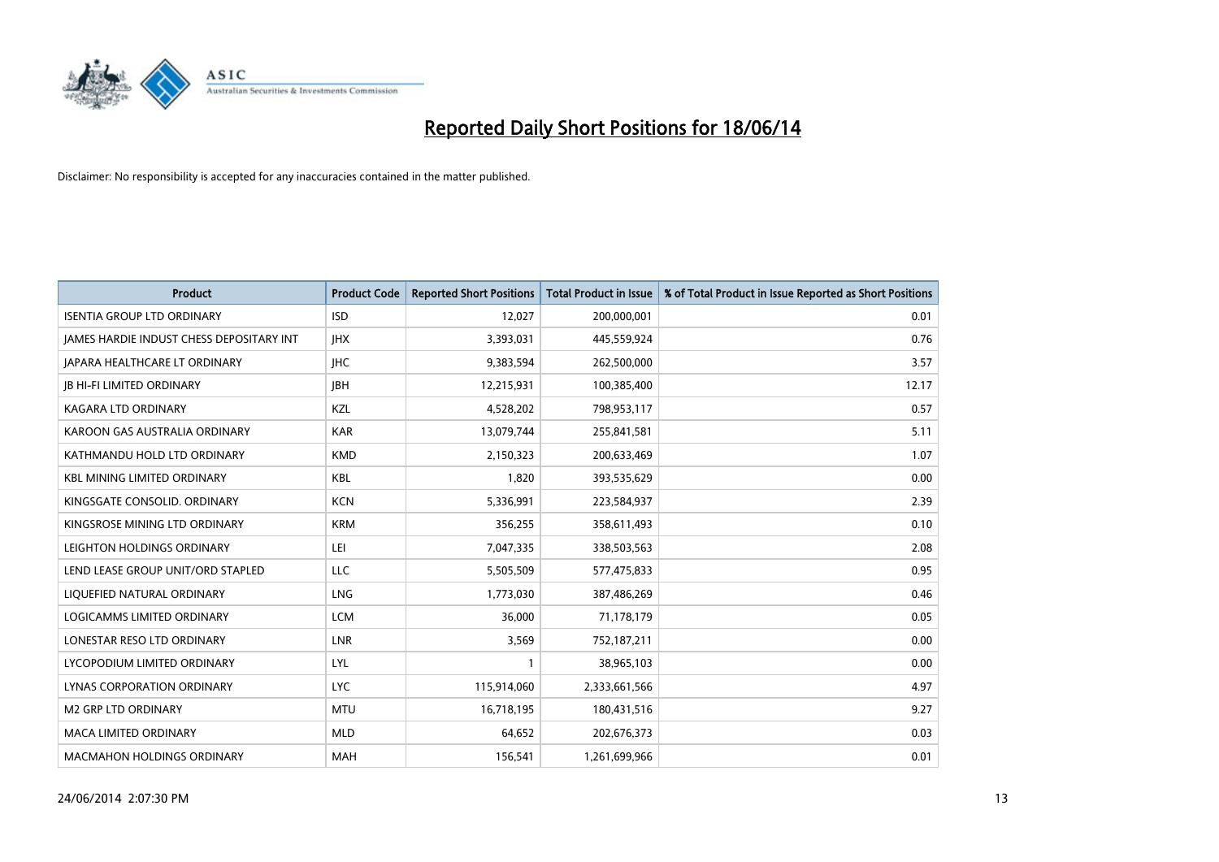

| <b>Product</b>                           | <b>Product Code</b> | <b>Reported Short Positions</b> | <b>Total Product in Issue</b> | % of Total Product in Issue Reported as Short Positions |
|------------------------------------------|---------------------|---------------------------------|-------------------------------|---------------------------------------------------------|
| <b>ISENTIA GROUP LTD ORDINARY</b>        | <b>ISD</b>          | 12,027                          | 200,000,001                   | 0.01                                                    |
| JAMES HARDIE INDUST CHESS DEPOSITARY INT | <b>IHX</b>          | 3,393,031                       | 445,559,924                   | 0.76                                                    |
| <b>JAPARA HEALTHCARE LT ORDINARY</b>     | <b>IHC</b>          | 9,383,594                       | 262,500,000                   | 3.57                                                    |
| <b>JB HI-FI LIMITED ORDINARY</b>         | <b>IBH</b>          | 12,215,931                      | 100,385,400                   | 12.17                                                   |
| <b>KAGARA LTD ORDINARY</b>               | KZL                 | 4,528,202                       | 798,953,117                   | 0.57                                                    |
| KAROON GAS AUSTRALIA ORDINARY            | <b>KAR</b>          | 13,079,744                      | 255,841,581                   | 5.11                                                    |
| KATHMANDU HOLD LTD ORDINARY              | <b>KMD</b>          | 2,150,323                       | 200,633,469                   | 1.07                                                    |
| <b>KBL MINING LIMITED ORDINARY</b>       | <b>KBL</b>          | 1,820                           | 393,535,629                   | 0.00                                                    |
| KINGSGATE CONSOLID. ORDINARY             | <b>KCN</b>          | 5,336,991                       | 223,584,937                   | 2.39                                                    |
| KINGSROSE MINING LTD ORDINARY            | <b>KRM</b>          | 356,255                         | 358,611,493                   | 0.10                                                    |
| LEIGHTON HOLDINGS ORDINARY               | LEI                 | 7,047,335                       | 338,503,563                   | 2.08                                                    |
| LEND LEASE GROUP UNIT/ORD STAPLED        | <b>LLC</b>          | 5,505,509                       | 577,475,833                   | 0.95                                                    |
| LIQUEFIED NATURAL ORDINARY               | <b>LNG</b>          | 1,773,030                       | 387,486,269                   | 0.46                                                    |
| LOGICAMMS LIMITED ORDINARY               | <b>LCM</b>          | 36.000                          | 71,178,179                    | 0.05                                                    |
| LONESTAR RESO LTD ORDINARY               | LNR                 | 3,569                           | 752,187,211                   | 0.00                                                    |
| LYCOPODIUM LIMITED ORDINARY              | <b>LYL</b>          |                                 | 38,965,103                    | 0.00                                                    |
| LYNAS CORPORATION ORDINARY               | <b>LYC</b>          | 115,914,060                     | 2,333,661,566                 | 4.97                                                    |
| <b>M2 GRP LTD ORDINARY</b>               | <b>MTU</b>          | 16,718,195                      | 180,431,516                   | 9.27                                                    |
| <b>MACA LIMITED ORDINARY</b>             | <b>MLD</b>          | 64,652                          | 202,676,373                   | 0.03                                                    |
| <b>MACMAHON HOLDINGS ORDINARY</b>        | <b>MAH</b>          | 156,541                         | 1,261,699,966                 | 0.01                                                    |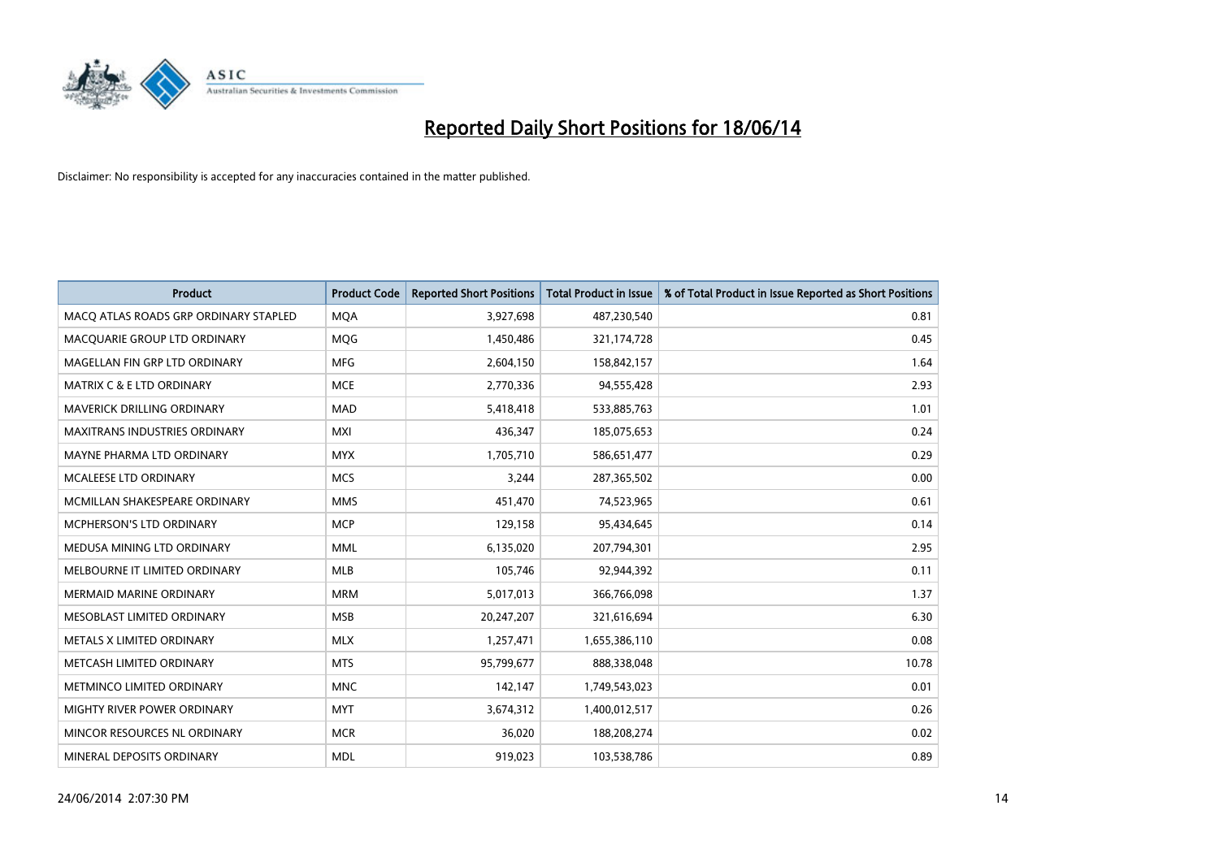

| <b>Product</b>                        | <b>Product Code</b> | <b>Reported Short Positions</b> | <b>Total Product in Issue</b> | % of Total Product in Issue Reported as Short Positions |
|---------------------------------------|---------------------|---------------------------------|-------------------------------|---------------------------------------------------------|
| MACO ATLAS ROADS GRP ORDINARY STAPLED | <b>MQA</b>          | 3,927,698                       | 487,230,540                   | 0.81                                                    |
| MACQUARIE GROUP LTD ORDINARY          | <b>MOG</b>          | 1,450,486                       | 321,174,728                   | 0.45                                                    |
| MAGELLAN FIN GRP LTD ORDINARY         | MFG                 | 2,604,150                       | 158,842,157                   | 1.64                                                    |
| <b>MATRIX C &amp; E LTD ORDINARY</b>  | <b>MCE</b>          | 2,770,336                       | 94,555,428                    | 2.93                                                    |
| <b>MAVERICK DRILLING ORDINARY</b>     | <b>MAD</b>          | 5,418,418                       | 533,885,763                   | 1.01                                                    |
| <b>MAXITRANS INDUSTRIES ORDINARY</b>  | <b>MXI</b>          | 436,347                         | 185,075,653                   | 0.24                                                    |
| MAYNE PHARMA LTD ORDINARY             | <b>MYX</b>          | 1,705,710                       | 586,651,477                   | 0.29                                                    |
| MCALEESE LTD ORDINARY                 | <b>MCS</b>          | 3,244                           | 287,365,502                   | 0.00                                                    |
| MCMILLAN SHAKESPEARE ORDINARY         | <b>MMS</b>          | 451,470                         | 74,523,965                    | 0.61                                                    |
| <b>MCPHERSON'S LTD ORDINARY</b>       | <b>MCP</b>          | 129,158                         | 95,434,645                    | 0.14                                                    |
| MEDUSA MINING LTD ORDINARY            | <b>MML</b>          | 6,135,020                       | 207,794,301                   | 2.95                                                    |
| MELBOURNE IT LIMITED ORDINARY         | <b>MLB</b>          | 105,746                         | 92,944,392                    | 0.11                                                    |
| MERMAID MARINE ORDINARY               | <b>MRM</b>          | 5,017,013                       | 366,766,098                   | 1.37                                                    |
| MESOBLAST LIMITED ORDINARY            | <b>MSB</b>          | 20,247,207                      | 321,616,694                   | 6.30                                                    |
| METALS X LIMITED ORDINARY             | <b>MLX</b>          | 1,257,471                       | 1,655,386,110                 | 0.08                                                    |
| METCASH LIMITED ORDINARY              | <b>MTS</b>          | 95,799,677                      | 888,338,048                   | 10.78                                                   |
| METMINCO LIMITED ORDINARY             | <b>MNC</b>          | 142,147                         | 1,749,543,023                 | 0.01                                                    |
| MIGHTY RIVER POWER ORDINARY           | <b>MYT</b>          | 3,674,312                       | 1,400,012,517                 | 0.26                                                    |
| MINCOR RESOURCES NL ORDINARY          | <b>MCR</b>          | 36,020                          | 188,208,274                   | 0.02                                                    |
| MINERAL DEPOSITS ORDINARY             | <b>MDL</b>          | 919,023                         | 103,538,786                   | 0.89                                                    |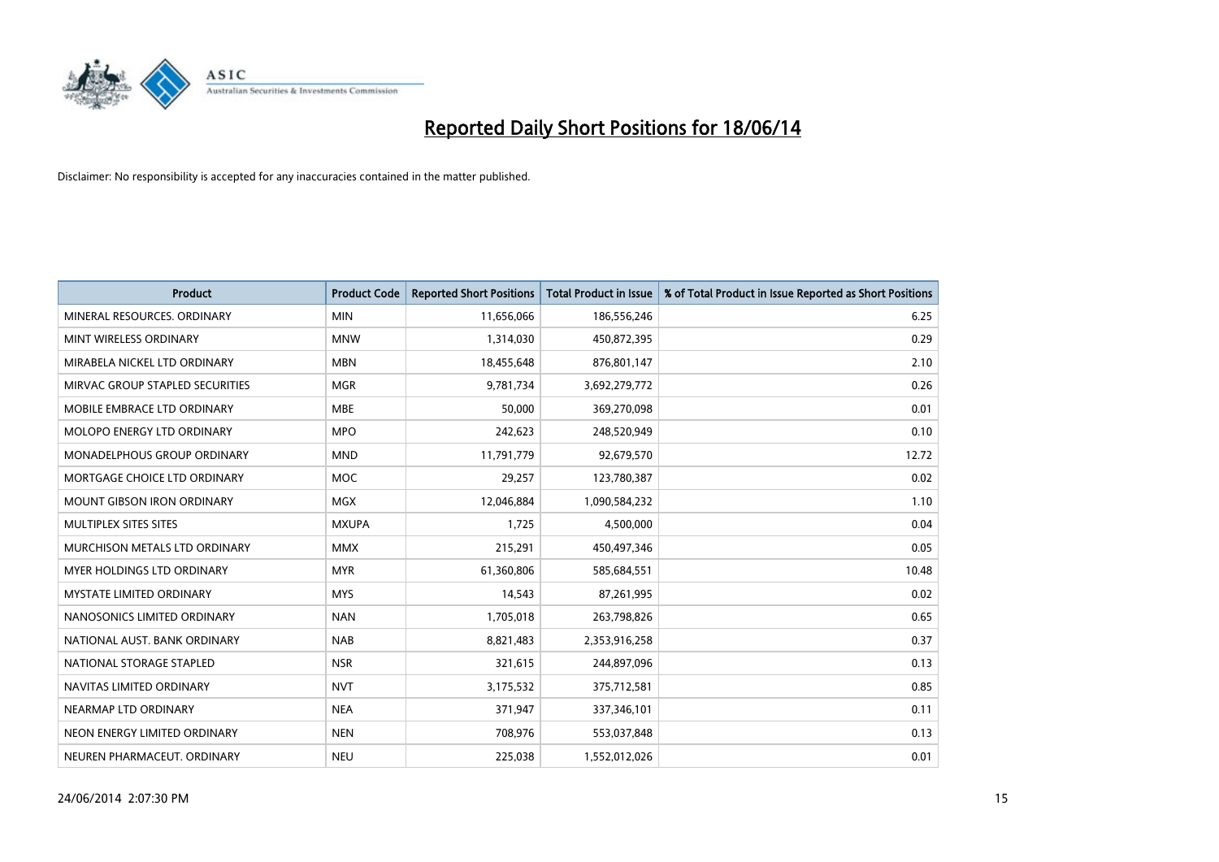

| <b>Product</b>                     | <b>Product Code</b> | <b>Reported Short Positions</b> | <b>Total Product in Issue</b> | % of Total Product in Issue Reported as Short Positions |
|------------------------------------|---------------------|---------------------------------|-------------------------------|---------------------------------------------------------|
| MINERAL RESOURCES, ORDINARY        | <b>MIN</b>          | 11,656,066                      | 186,556,246                   | 6.25                                                    |
| MINT WIRELESS ORDINARY             | <b>MNW</b>          | 1,314,030                       | 450,872,395                   | 0.29                                                    |
| MIRABELA NICKEL LTD ORDINARY       | <b>MBN</b>          | 18,455,648                      | 876,801,147                   | 2.10                                                    |
| MIRVAC GROUP STAPLED SECURITIES    | <b>MGR</b>          | 9,781,734                       | 3,692,279,772                 | 0.26                                                    |
| MOBILE EMBRACE LTD ORDINARY        | <b>MBE</b>          | 50,000                          | 369,270,098                   | 0.01                                                    |
| MOLOPO ENERGY LTD ORDINARY         | <b>MPO</b>          | 242,623                         | 248,520,949                   | 0.10                                                    |
| <b>MONADELPHOUS GROUP ORDINARY</b> | <b>MND</b>          | 11,791,779                      | 92,679,570                    | 12.72                                                   |
| MORTGAGE CHOICE LTD ORDINARY       | MOC                 | 29,257                          | 123,780,387                   | 0.02                                                    |
| <b>MOUNT GIBSON IRON ORDINARY</b>  | <b>MGX</b>          | 12,046,884                      | 1,090,584,232                 | 1.10                                                    |
| MULTIPLEX SITES SITES              | <b>MXUPA</b>        | 1,725                           | 4,500,000                     | 0.04                                                    |
| MURCHISON METALS LTD ORDINARY      | <b>MMX</b>          | 215,291                         | 450,497,346                   | 0.05                                                    |
| MYER HOLDINGS LTD ORDINARY         | <b>MYR</b>          | 61,360,806                      | 585,684,551                   | 10.48                                                   |
| <b>MYSTATE LIMITED ORDINARY</b>    | <b>MYS</b>          | 14,543                          | 87,261,995                    | 0.02                                                    |
| NANOSONICS LIMITED ORDINARY        | <b>NAN</b>          | 1,705,018                       | 263,798,826                   | 0.65                                                    |
| NATIONAL AUST, BANK ORDINARY       | <b>NAB</b>          | 8,821,483                       | 2,353,916,258                 | 0.37                                                    |
| NATIONAL STORAGE STAPLED           | <b>NSR</b>          | 321,615                         | 244,897,096                   | 0.13                                                    |
| NAVITAS LIMITED ORDINARY           | <b>NVT</b>          | 3,175,532                       | 375,712,581                   | 0.85                                                    |
| NEARMAP LTD ORDINARY               | <b>NEA</b>          | 371,947                         | 337,346,101                   | 0.11                                                    |
| NEON ENERGY LIMITED ORDINARY       | <b>NEN</b>          | 708,976                         | 553,037,848                   | 0.13                                                    |
| NEUREN PHARMACEUT. ORDINARY        | <b>NEU</b>          | 225,038                         | 1,552,012,026                 | 0.01                                                    |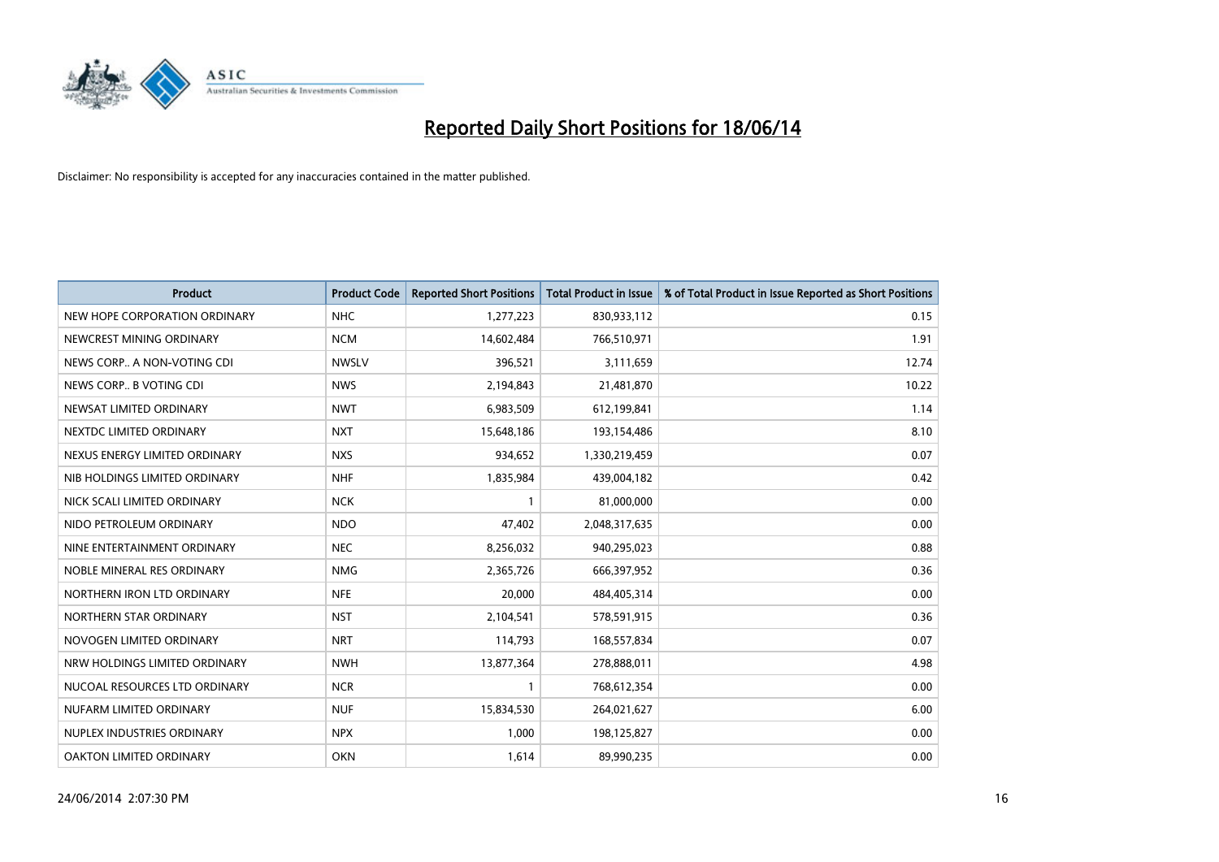

| <b>Product</b>                | <b>Product Code</b> | <b>Reported Short Positions</b> | <b>Total Product in Issue</b> | % of Total Product in Issue Reported as Short Positions |
|-------------------------------|---------------------|---------------------------------|-------------------------------|---------------------------------------------------------|
| NEW HOPE CORPORATION ORDINARY | <b>NHC</b>          | 1,277,223                       | 830,933,112                   | 0.15                                                    |
| NEWCREST MINING ORDINARY      | <b>NCM</b>          | 14,602,484                      | 766,510,971                   | 1.91                                                    |
| NEWS CORP A NON-VOTING CDI    | <b>NWSLV</b>        | 396,521                         | 3,111,659                     | 12.74                                                   |
| NEWS CORP B VOTING CDI        | <b>NWS</b>          | 2,194,843                       | 21,481,870                    | 10.22                                                   |
| NEWSAT LIMITED ORDINARY       | <b>NWT</b>          | 6,983,509                       | 612,199,841                   | 1.14                                                    |
| NEXTDC LIMITED ORDINARY       | <b>NXT</b>          | 15,648,186                      | 193,154,486                   | 8.10                                                    |
| NEXUS ENERGY LIMITED ORDINARY | <b>NXS</b>          | 934,652                         | 1,330,219,459                 | 0.07                                                    |
| NIB HOLDINGS LIMITED ORDINARY | <b>NHF</b>          | 1,835,984                       | 439,004,182                   | 0.42                                                    |
| NICK SCALI LIMITED ORDINARY   | <b>NCK</b>          | 1                               | 81,000,000                    | 0.00                                                    |
| NIDO PETROLEUM ORDINARY       | <b>NDO</b>          | 47,402                          | 2,048,317,635                 | 0.00                                                    |
| NINE ENTERTAINMENT ORDINARY   | <b>NEC</b>          | 8,256,032                       | 940,295,023                   | 0.88                                                    |
| NOBLE MINERAL RES ORDINARY    | <b>NMG</b>          | 2,365,726                       | 666,397,952                   | 0.36                                                    |
| NORTHERN IRON LTD ORDINARY    | <b>NFE</b>          | 20,000                          | 484,405,314                   | 0.00                                                    |
| NORTHERN STAR ORDINARY        | <b>NST</b>          | 2,104,541                       | 578,591,915                   | 0.36                                                    |
| NOVOGEN LIMITED ORDINARY      | <b>NRT</b>          | 114,793                         | 168,557,834                   | 0.07                                                    |
| NRW HOLDINGS LIMITED ORDINARY | <b>NWH</b>          | 13,877,364                      | 278,888,011                   | 4.98                                                    |
| NUCOAL RESOURCES LTD ORDINARY | <b>NCR</b>          | 1                               | 768,612,354                   | 0.00                                                    |
| NUFARM LIMITED ORDINARY       | <b>NUF</b>          | 15,834,530                      | 264,021,627                   | 6.00                                                    |
| NUPLEX INDUSTRIES ORDINARY    | <b>NPX</b>          | 1,000                           | 198,125,827                   | 0.00                                                    |
| OAKTON LIMITED ORDINARY       | <b>OKN</b>          | 1,614                           | 89,990,235                    | 0.00                                                    |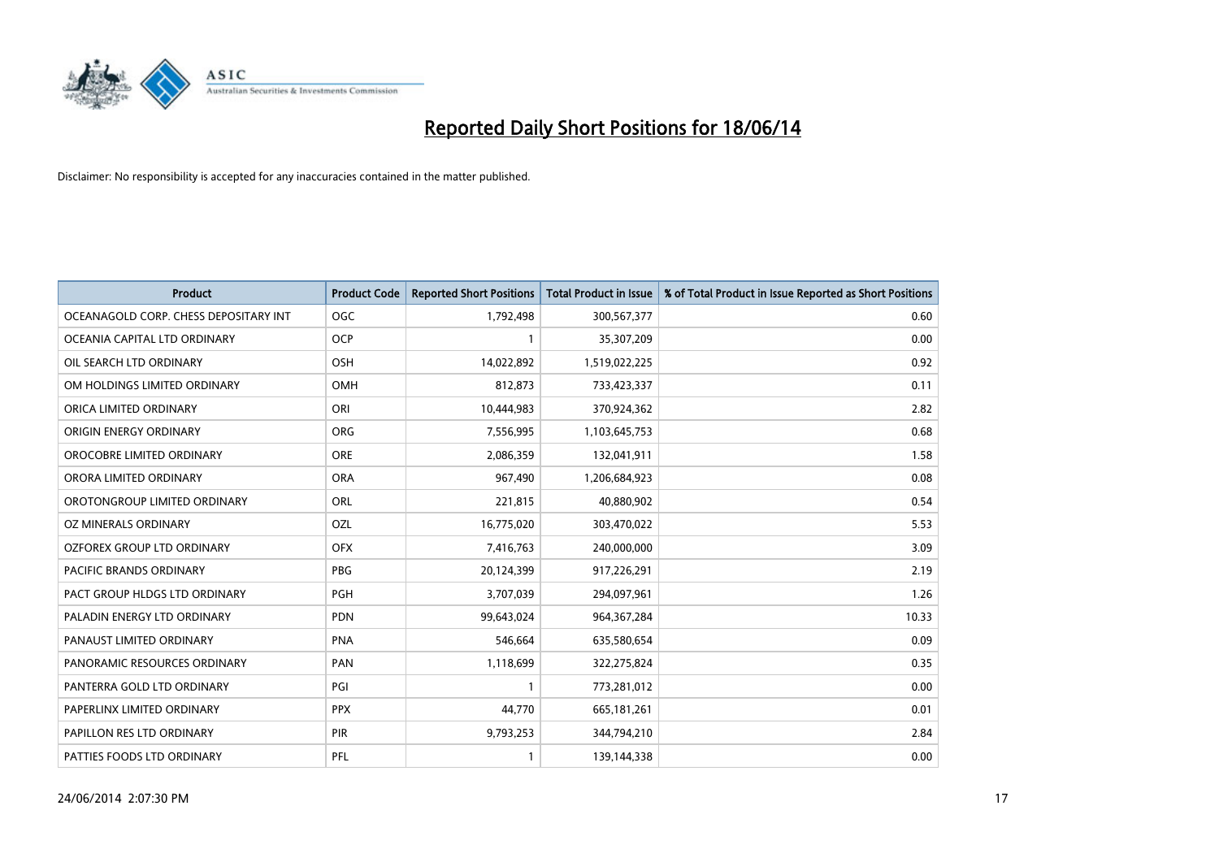

| <b>Product</b>                        | <b>Product Code</b> | <b>Reported Short Positions</b> | <b>Total Product in Issue</b> | % of Total Product in Issue Reported as Short Positions |
|---------------------------------------|---------------------|---------------------------------|-------------------------------|---------------------------------------------------------|
| OCEANAGOLD CORP. CHESS DEPOSITARY INT | <b>OGC</b>          | 1,792,498                       | 300,567,377                   | 0.60                                                    |
| OCEANIA CAPITAL LTD ORDINARY          | OCP                 |                                 | 35,307,209                    | 0.00                                                    |
| OIL SEARCH LTD ORDINARY               | <b>OSH</b>          | 14,022,892                      | 1,519,022,225                 | 0.92                                                    |
| OM HOLDINGS LIMITED ORDINARY          | <b>OMH</b>          | 812,873                         | 733,423,337                   | 0.11                                                    |
| ORICA LIMITED ORDINARY                | ORI                 | 10,444,983                      | 370,924,362                   | 2.82                                                    |
| ORIGIN ENERGY ORDINARY                | <b>ORG</b>          | 7,556,995                       | 1,103,645,753                 | 0.68                                                    |
| OROCOBRE LIMITED ORDINARY             | <b>ORE</b>          | 2,086,359                       | 132,041,911                   | 1.58                                                    |
| ORORA LIMITED ORDINARY                | <b>ORA</b>          | 967,490                         | 1,206,684,923                 | 0.08                                                    |
| OROTONGROUP LIMITED ORDINARY          | <b>ORL</b>          | 221,815                         | 40,880,902                    | 0.54                                                    |
| OZ MINERALS ORDINARY                  | OZL                 | 16,775,020                      | 303,470,022                   | 5.53                                                    |
| OZFOREX GROUP LTD ORDINARY            | <b>OFX</b>          | 7,416,763                       | 240,000,000                   | 3.09                                                    |
| PACIFIC BRANDS ORDINARY               | <b>PBG</b>          | 20,124,399                      | 917,226,291                   | 2.19                                                    |
| PACT GROUP HLDGS LTD ORDINARY         | PGH                 | 3,707,039                       | 294,097,961                   | 1.26                                                    |
| PALADIN ENERGY LTD ORDINARY           | <b>PDN</b>          | 99,643,024                      | 964, 367, 284                 | 10.33                                                   |
| PANAUST LIMITED ORDINARY              | <b>PNA</b>          | 546,664                         | 635,580,654                   | 0.09                                                    |
| PANORAMIC RESOURCES ORDINARY          | <b>PAN</b>          | 1,118,699                       | 322,275,824                   | 0.35                                                    |
| PANTERRA GOLD LTD ORDINARY            | PGI                 | $\mathbf{1}$                    | 773,281,012                   | 0.00                                                    |
| PAPERLINX LIMITED ORDINARY            | <b>PPX</b>          | 44,770                          | 665, 181, 261                 | 0.01                                                    |
| PAPILLON RES LTD ORDINARY             | PIR                 | 9,793,253                       | 344,794,210                   | 2.84                                                    |
| PATTIES FOODS LTD ORDINARY            | PFL                 |                                 | 139,144,338                   | 0.00                                                    |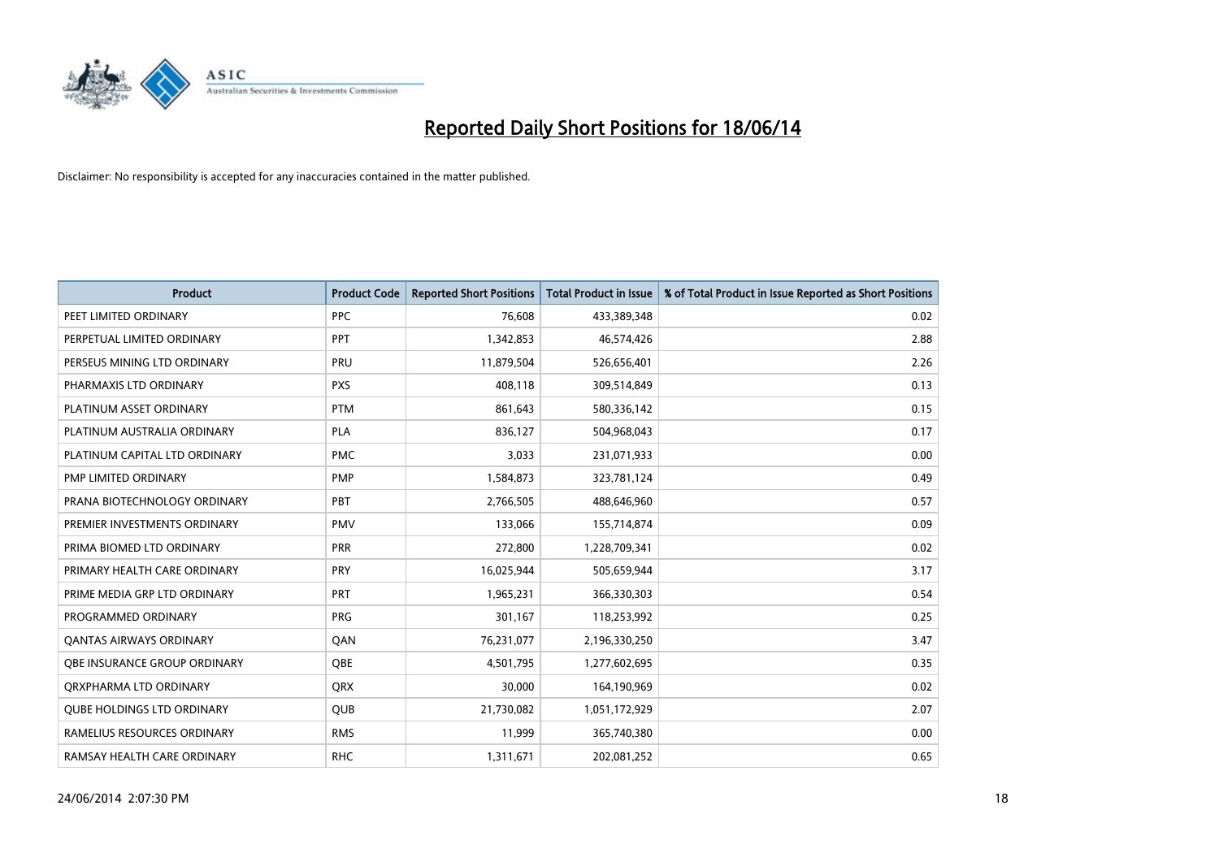

| <b>Product</b>                    | <b>Product Code</b> | <b>Reported Short Positions</b> | <b>Total Product in Issue</b> | % of Total Product in Issue Reported as Short Positions |
|-----------------------------------|---------------------|---------------------------------|-------------------------------|---------------------------------------------------------|
| PEET LIMITED ORDINARY             | <b>PPC</b>          | 76,608                          | 433,389,348                   | 0.02                                                    |
| PERPETUAL LIMITED ORDINARY        | PPT                 | 1,342,853                       | 46,574,426                    | 2.88                                                    |
| PERSEUS MINING LTD ORDINARY       | <b>PRU</b>          | 11,879,504                      | 526,656,401                   | 2.26                                                    |
| PHARMAXIS LTD ORDINARY            | <b>PXS</b>          | 408,118                         | 309,514,849                   | 0.13                                                    |
| PLATINUM ASSET ORDINARY           | <b>PTM</b>          | 861,643                         | 580,336,142                   | 0.15                                                    |
| PLATINUM AUSTRALIA ORDINARY       | <b>PLA</b>          | 836,127                         | 504,968,043                   | 0.17                                                    |
| PLATINUM CAPITAL LTD ORDINARY     | <b>PMC</b>          | 3,033                           | 231,071,933                   | 0.00                                                    |
| PMP LIMITED ORDINARY              | <b>PMP</b>          | 1,584,873                       | 323,781,124                   | 0.49                                                    |
| PRANA BIOTECHNOLOGY ORDINARY      | PBT                 | 2,766,505                       | 488,646,960                   | 0.57                                                    |
| PREMIER INVESTMENTS ORDINARY      | <b>PMV</b>          | 133,066                         | 155,714,874                   | 0.09                                                    |
| PRIMA BIOMED LTD ORDINARY         | <b>PRR</b>          | 272,800                         | 1,228,709,341                 | 0.02                                                    |
| PRIMARY HEALTH CARE ORDINARY      | <b>PRY</b>          | 16,025,944                      | 505,659,944                   | 3.17                                                    |
| PRIME MEDIA GRP LTD ORDINARY      | <b>PRT</b>          | 1,965,231                       | 366,330,303                   | 0.54                                                    |
| PROGRAMMED ORDINARY               | PRG                 | 301,167                         | 118,253,992                   | 0.25                                                    |
| <b>QANTAS AIRWAYS ORDINARY</b>    | QAN                 | 76,231,077                      | 2,196,330,250                 | 3.47                                                    |
| OBE INSURANCE GROUP ORDINARY      | QBE                 | 4,501,795                       | 1,277,602,695                 | 0.35                                                    |
| ORXPHARMA LTD ORDINARY            | QRX                 | 30,000                          | 164,190,969                   | 0.02                                                    |
| <b>QUBE HOLDINGS LTD ORDINARY</b> | <b>QUB</b>          | 21,730,082                      | 1,051,172,929                 | 2.07                                                    |
| RAMELIUS RESOURCES ORDINARY       | <b>RMS</b>          | 11,999                          | 365,740,380                   | 0.00                                                    |
| RAMSAY HEALTH CARE ORDINARY       | <b>RHC</b>          | 1,311,671                       | 202,081,252                   | 0.65                                                    |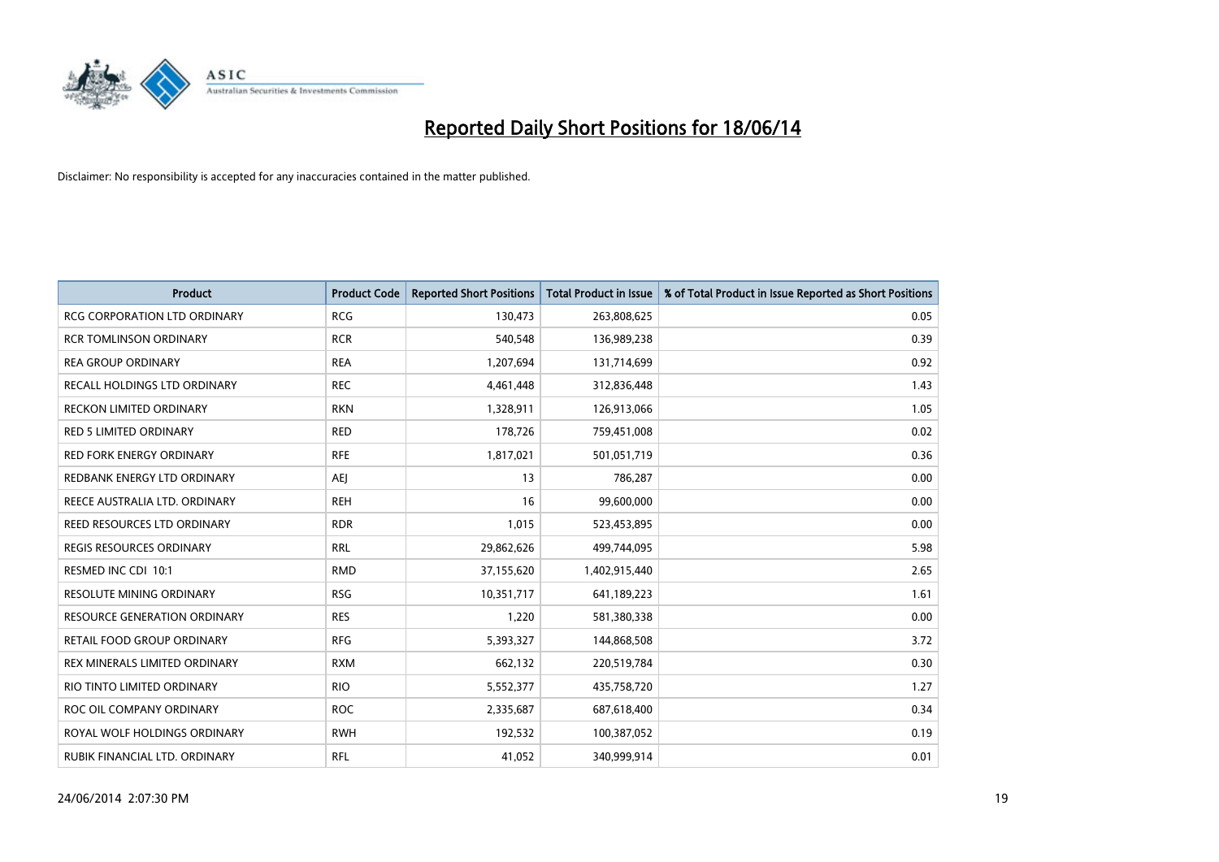

| <b>Product</b>                      | <b>Product Code</b> | <b>Reported Short Positions</b> | <b>Total Product in Issue</b> | % of Total Product in Issue Reported as Short Positions |
|-------------------------------------|---------------------|---------------------------------|-------------------------------|---------------------------------------------------------|
| <b>RCG CORPORATION LTD ORDINARY</b> | <b>RCG</b>          | 130,473                         | 263,808,625                   | 0.05                                                    |
| <b>RCR TOMLINSON ORDINARY</b>       | <b>RCR</b>          | 540,548                         | 136,989,238                   | 0.39                                                    |
| <b>REA GROUP ORDINARY</b>           | <b>REA</b>          | 1,207,694                       | 131,714,699                   | 0.92                                                    |
| RECALL HOLDINGS LTD ORDINARY        | <b>REC</b>          | 4,461,448                       | 312,836,448                   | 1.43                                                    |
| <b>RECKON LIMITED ORDINARY</b>      | <b>RKN</b>          | 1,328,911                       | 126,913,066                   | 1.05                                                    |
| <b>RED 5 LIMITED ORDINARY</b>       | <b>RED</b>          | 178,726                         | 759,451,008                   | 0.02                                                    |
| <b>RED FORK ENERGY ORDINARY</b>     | <b>RFE</b>          | 1,817,021                       | 501,051,719                   | 0.36                                                    |
| REDBANK ENERGY LTD ORDINARY         | <b>AEI</b>          | 13                              | 786,287                       | 0.00                                                    |
| REECE AUSTRALIA LTD. ORDINARY       | <b>REH</b>          | 16                              | 99,600,000                    | 0.00                                                    |
| REED RESOURCES LTD ORDINARY         | <b>RDR</b>          | 1,015                           | 523,453,895                   | 0.00                                                    |
| REGIS RESOURCES ORDINARY            | <b>RRL</b>          | 29,862,626                      | 499,744,095                   | 5.98                                                    |
| RESMED INC CDI 10:1                 | <b>RMD</b>          | 37,155,620                      | 1,402,915,440                 | 2.65                                                    |
| RESOLUTE MINING ORDINARY            | <b>RSG</b>          | 10,351,717                      | 641,189,223                   | 1.61                                                    |
| <b>RESOURCE GENERATION ORDINARY</b> | <b>RES</b>          | 1,220                           | 581,380,338                   | 0.00                                                    |
| RETAIL FOOD GROUP ORDINARY          | <b>RFG</b>          | 5,393,327                       | 144,868,508                   | 3.72                                                    |
| REX MINERALS LIMITED ORDINARY       | <b>RXM</b>          | 662,132                         | 220,519,784                   | 0.30                                                    |
| RIO TINTO LIMITED ORDINARY          | <b>RIO</b>          | 5,552,377                       | 435,758,720                   | 1.27                                                    |
| ROC OIL COMPANY ORDINARY            | <b>ROC</b>          | 2,335,687                       | 687,618,400                   | 0.34                                                    |
| ROYAL WOLF HOLDINGS ORDINARY        | <b>RWH</b>          | 192,532                         | 100,387,052                   | 0.19                                                    |
| RUBIK FINANCIAL LTD. ORDINARY       | RFL                 | 41,052                          | 340,999,914                   | 0.01                                                    |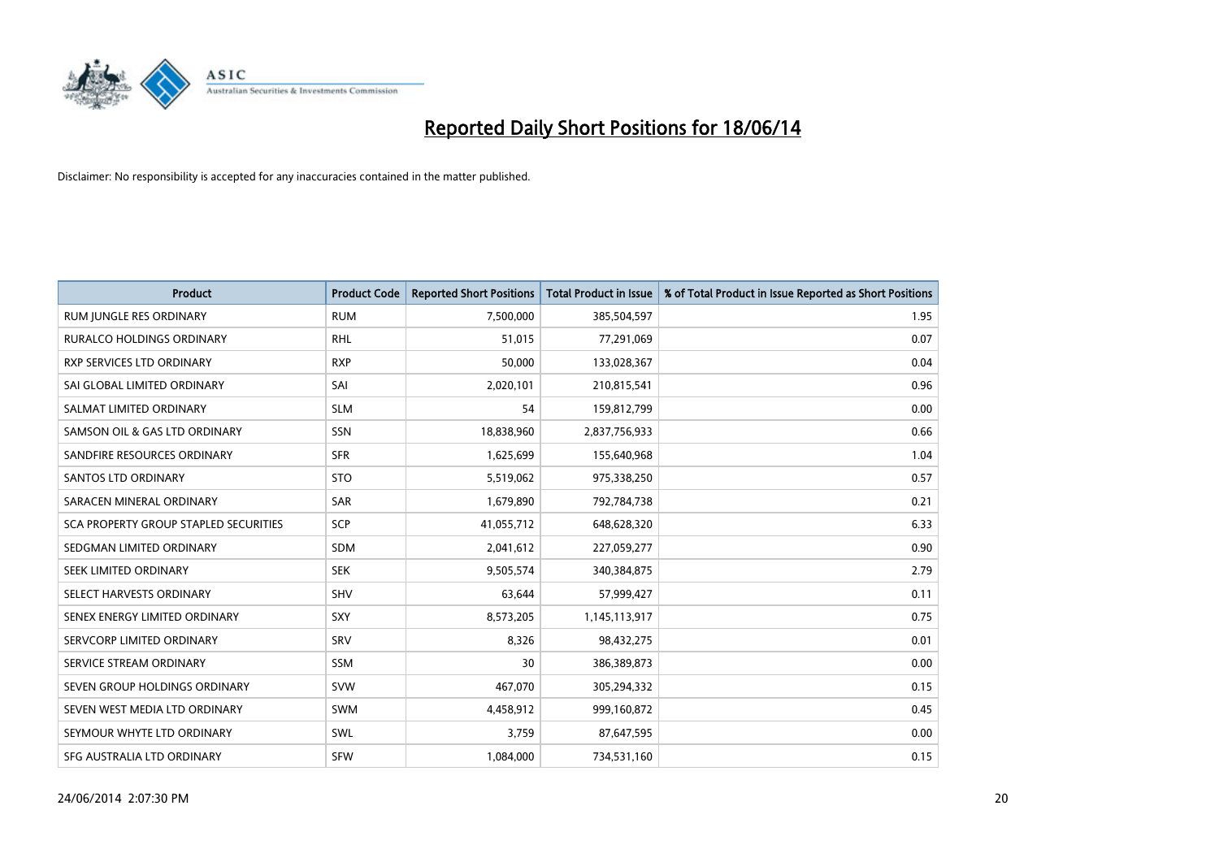

| <b>Product</b>                        | <b>Product Code</b> | <b>Reported Short Positions</b> | <b>Total Product in Issue</b> | % of Total Product in Issue Reported as Short Positions |
|---------------------------------------|---------------------|---------------------------------|-------------------------------|---------------------------------------------------------|
| RUM JUNGLE RES ORDINARY               | <b>RUM</b>          | 7,500,000                       | 385,504,597                   | 1.95                                                    |
| <b>RURALCO HOLDINGS ORDINARY</b>      | <b>RHL</b>          | 51,015                          | 77,291,069                    | 0.07                                                    |
| RXP SERVICES LTD ORDINARY             | <b>RXP</b>          | 50,000                          | 133,028,367                   | 0.04                                                    |
| SAI GLOBAL LIMITED ORDINARY           | SAI                 | 2,020,101                       | 210,815,541                   | 0.96                                                    |
| SALMAT LIMITED ORDINARY               | <b>SLM</b>          | 54                              | 159,812,799                   | 0.00                                                    |
| SAMSON OIL & GAS LTD ORDINARY         | SSN                 | 18,838,960                      | 2,837,756,933                 | 0.66                                                    |
| SANDFIRE RESOURCES ORDINARY           | <b>SFR</b>          | 1,625,699                       | 155,640,968                   | 1.04                                                    |
| <b>SANTOS LTD ORDINARY</b>            | <b>STO</b>          | 5,519,062                       | 975,338,250                   | 0.57                                                    |
| SARACEN MINERAL ORDINARY              | SAR                 | 1,679,890                       | 792,784,738                   | 0.21                                                    |
| SCA PROPERTY GROUP STAPLED SECURITIES | SCP                 | 41,055,712                      | 648,628,320                   | 6.33                                                    |
| SEDGMAN LIMITED ORDINARY              | <b>SDM</b>          | 2,041,612                       | 227,059,277                   | 0.90                                                    |
| SEEK LIMITED ORDINARY                 | <b>SEK</b>          | 9,505,574                       | 340,384,875                   | 2.79                                                    |
| SELECT HARVESTS ORDINARY              | SHV                 | 63,644                          | 57,999,427                    | 0.11                                                    |
| SENEX ENERGY LIMITED ORDINARY         | <b>SXY</b>          | 8,573,205                       | 1,145,113,917                 | 0.75                                                    |
| SERVCORP LIMITED ORDINARY             | SRV                 | 8,326                           | 98,432,275                    | 0.01                                                    |
| SERVICE STREAM ORDINARY               | <b>SSM</b>          | 30                              | 386,389,873                   | 0.00                                                    |
| SEVEN GROUP HOLDINGS ORDINARY         | <b>SVW</b>          | 467,070                         | 305,294,332                   | 0.15                                                    |
| SEVEN WEST MEDIA LTD ORDINARY         | SWM                 | 4,458,912                       | 999,160,872                   | 0.45                                                    |
| SEYMOUR WHYTE LTD ORDINARY            | SWL                 | 3,759                           | 87,647,595                    | 0.00                                                    |
| SFG AUSTRALIA LTD ORDINARY            | <b>SFW</b>          | 1,084,000                       | 734,531,160                   | 0.15                                                    |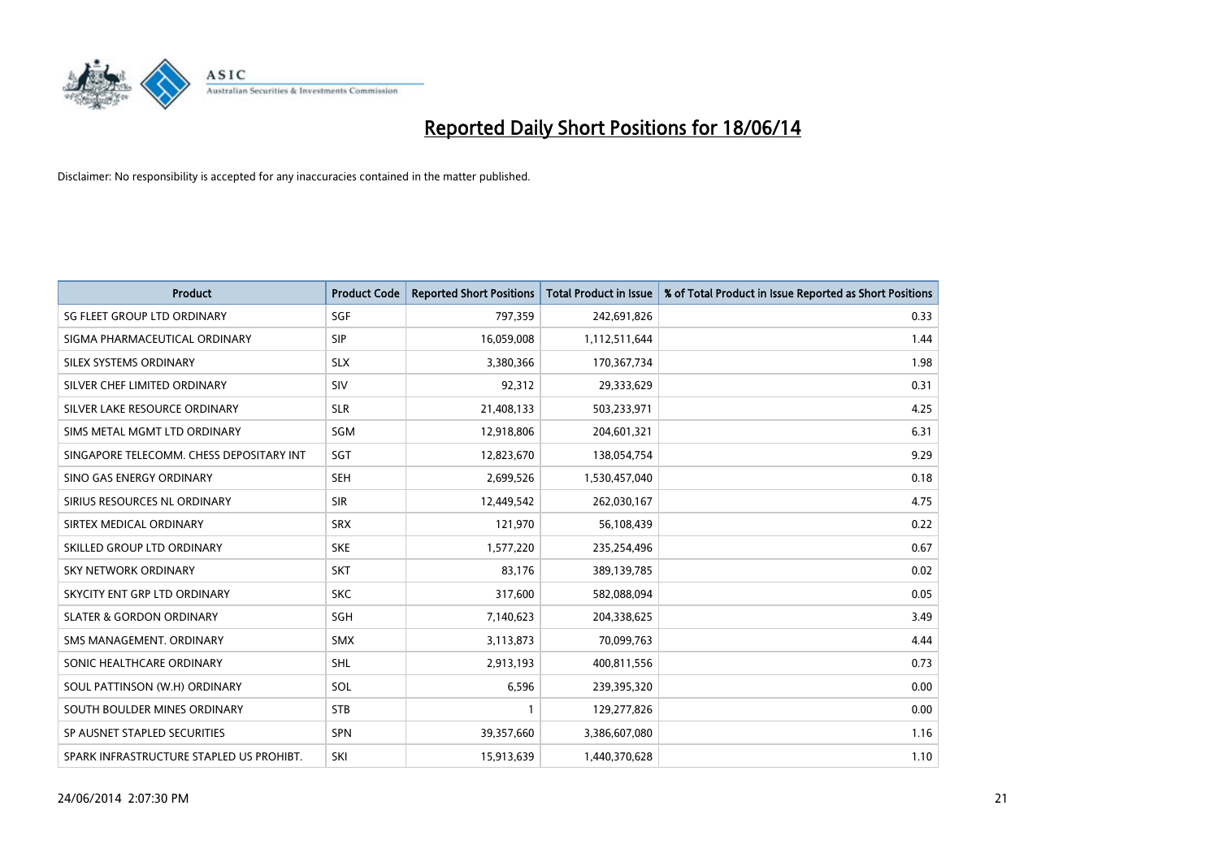

| <b>Product</b>                           | <b>Product Code</b> | <b>Reported Short Positions</b> | <b>Total Product in Issue</b> | % of Total Product in Issue Reported as Short Positions |
|------------------------------------------|---------------------|---------------------------------|-------------------------------|---------------------------------------------------------|
| SG FLEET GROUP LTD ORDINARY              | SGF                 | 797,359                         | 242,691,826                   | 0.33                                                    |
| SIGMA PHARMACEUTICAL ORDINARY            | <b>SIP</b>          | 16,059,008                      | 1,112,511,644                 | 1.44                                                    |
| SILEX SYSTEMS ORDINARY                   | <b>SLX</b>          | 3,380,366                       | 170,367,734                   | 1.98                                                    |
| SILVER CHEF LIMITED ORDINARY             | SIV                 | 92,312                          | 29,333,629                    | 0.31                                                    |
| SILVER LAKE RESOURCE ORDINARY            | <b>SLR</b>          | 21,408,133                      | 503,233,971                   | 4.25                                                    |
| SIMS METAL MGMT LTD ORDINARY             | SGM                 | 12,918,806                      | 204,601,321                   | 6.31                                                    |
| SINGAPORE TELECOMM. CHESS DEPOSITARY INT | <b>SGT</b>          | 12,823,670                      | 138,054,754                   | 9.29                                                    |
| SINO GAS ENERGY ORDINARY                 | <b>SEH</b>          | 2,699,526                       | 1,530,457,040                 | 0.18                                                    |
| SIRIUS RESOURCES NL ORDINARY             | <b>SIR</b>          | 12,449,542                      | 262,030,167                   | 4.75                                                    |
| SIRTEX MEDICAL ORDINARY                  | <b>SRX</b>          | 121,970                         | 56,108,439                    | 0.22                                                    |
| SKILLED GROUP LTD ORDINARY               | <b>SKE</b>          | 1,577,220                       | 235,254,496                   | 0.67                                                    |
| <b>SKY NETWORK ORDINARY</b>              | <b>SKT</b>          | 83,176                          | 389,139,785                   | 0.02                                                    |
| SKYCITY ENT GRP LTD ORDINARY             | <b>SKC</b>          | 317,600                         | 582,088,094                   | 0.05                                                    |
| <b>SLATER &amp; GORDON ORDINARY</b>      | SGH                 | 7,140,623                       | 204,338,625                   | 3.49                                                    |
| SMS MANAGEMENT, ORDINARY                 | <b>SMX</b>          | 3,113,873                       | 70,099,763                    | 4.44                                                    |
| SONIC HEALTHCARE ORDINARY                | <b>SHL</b>          | 2,913,193                       | 400,811,556                   | 0.73                                                    |
| SOUL PATTINSON (W.H) ORDINARY            | SOL                 | 6,596                           | 239,395,320                   | 0.00                                                    |
| SOUTH BOULDER MINES ORDINARY             | <b>STB</b>          | 1                               | 129,277,826                   | 0.00                                                    |
| SP AUSNET STAPLED SECURITIES             | <b>SPN</b>          | 39,357,660                      | 3,386,607,080                 | 1.16                                                    |
| SPARK INFRASTRUCTURE STAPLED US PROHIBT. | SKI                 | 15,913,639                      | 1,440,370,628                 | 1.10                                                    |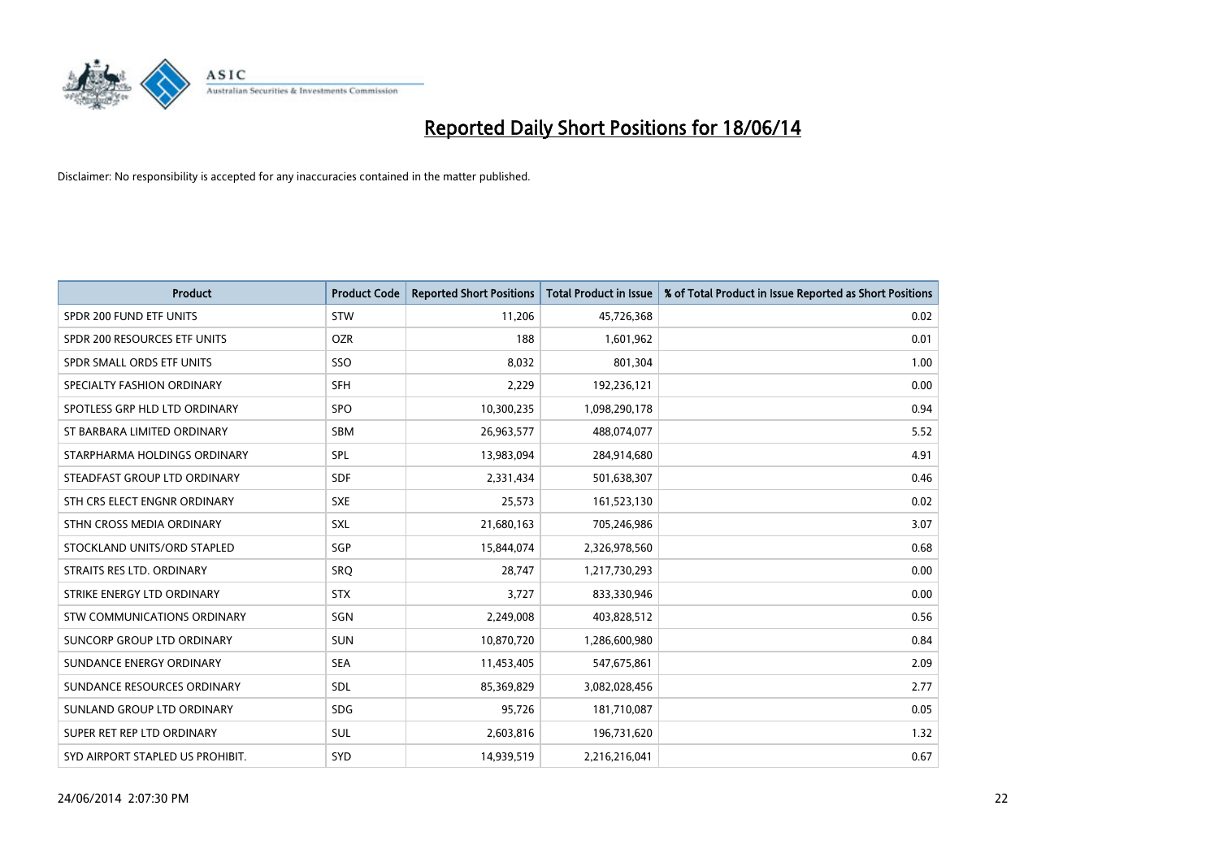

| <b>Product</b>                   | <b>Product Code</b> | <b>Reported Short Positions</b> | <b>Total Product in Issue</b> | % of Total Product in Issue Reported as Short Positions |
|----------------------------------|---------------------|---------------------------------|-------------------------------|---------------------------------------------------------|
| SPDR 200 FUND ETF UNITS          | <b>STW</b>          | 11,206                          | 45,726,368                    | 0.02                                                    |
| SPDR 200 RESOURCES ETF UNITS     | <b>OZR</b>          | 188                             | 1,601,962                     | 0.01                                                    |
| SPDR SMALL ORDS ETF UNITS        | SSO                 | 8,032                           | 801,304                       | 1.00                                                    |
| SPECIALTY FASHION ORDINARY       | <b>SFH</b>          | 2,229                           | 192,236,121                   | 0.00                                                    |
| SPOTLESS GRP HLD LTD ORDINARY    | SPO                 | 10,300,235                      | 1,098,290,178                 | 0.94                                                    |
| ST BARBARA LIMITED ORDINARY      | SBM                 | 26,963,577                      | 488,074,077                   | 5.52                                                    |
| STARPHARMA HOLDINGS ORDINARY     | SPL                 | 13,983,094                      | 284,914,680                   | 4.91                                                    |
| STEADFAST GROUP LTD ORDINARY     | <b>SDF</b>          | 2,331,434                       | 501,638,307                   | 0.46                                                    |
| STH CRS ELECT ENGNR ORDINARY     | <b>SXE</b>          | 25,573                          | 161,523,130                   | 0.02                                                    |
| STHN CROSS MEDIA ORDINARY        | <b>SXL</b>          | 21,680,163                      | 705,246,986                   | 3.07                                                    |
| STOCKLAND UNITS/ORD STAPLED      | SGP                 | 15,844,074                      | 2,326,978,560                 | 0.68                                                    |
| STRAITS RES LTD. ORDINARY        | SRQ                 | 28,747                          | 1,217,730,293                 | 0.00                                                    |
| STRIKE ENERGY LTD ORDINARY       | <b>STX</b>          | 3,727                           | 833,330,946                   | 0.00                                                    |
| STW COMMUNICATIONS ORDINARY      | SGN                 | 2,249,008                       | 403,828,512                   | 0.56                                                    |
| SUNCORP GROUP LTD ORDINARY       | <b>SUN</b>          | 10,870,720                      | 1,286,600,980                 | 0.84                                                    |
| SUNDANCE ENERGY ORDINARY         | <b>SEA</b>          | 11,453,405                      | 547,675,861                   | 2.09                                                    |
| SUNDANCE RESOURCES ORDINARY      | SDL                 | 85,369,829                      | 3,082,028,456                 | 2.77                                                    |
| SUNLAND GROUP LTD ORDINARY       | <b>SDG</b>          | 95,726                          | 181,710,087                   | 0.05                                                    |
| SUPER RET REP LTD ORDINARY       | <b>SUL</b>          | 2,603,816                       | 196,731,620                   | 1.32                                                    |
| SYD AIRPORT STAPLED US PROHIBIT. | SYD                 | 14,939,519                      | 2,216,216,041                 | 0.67                                                    |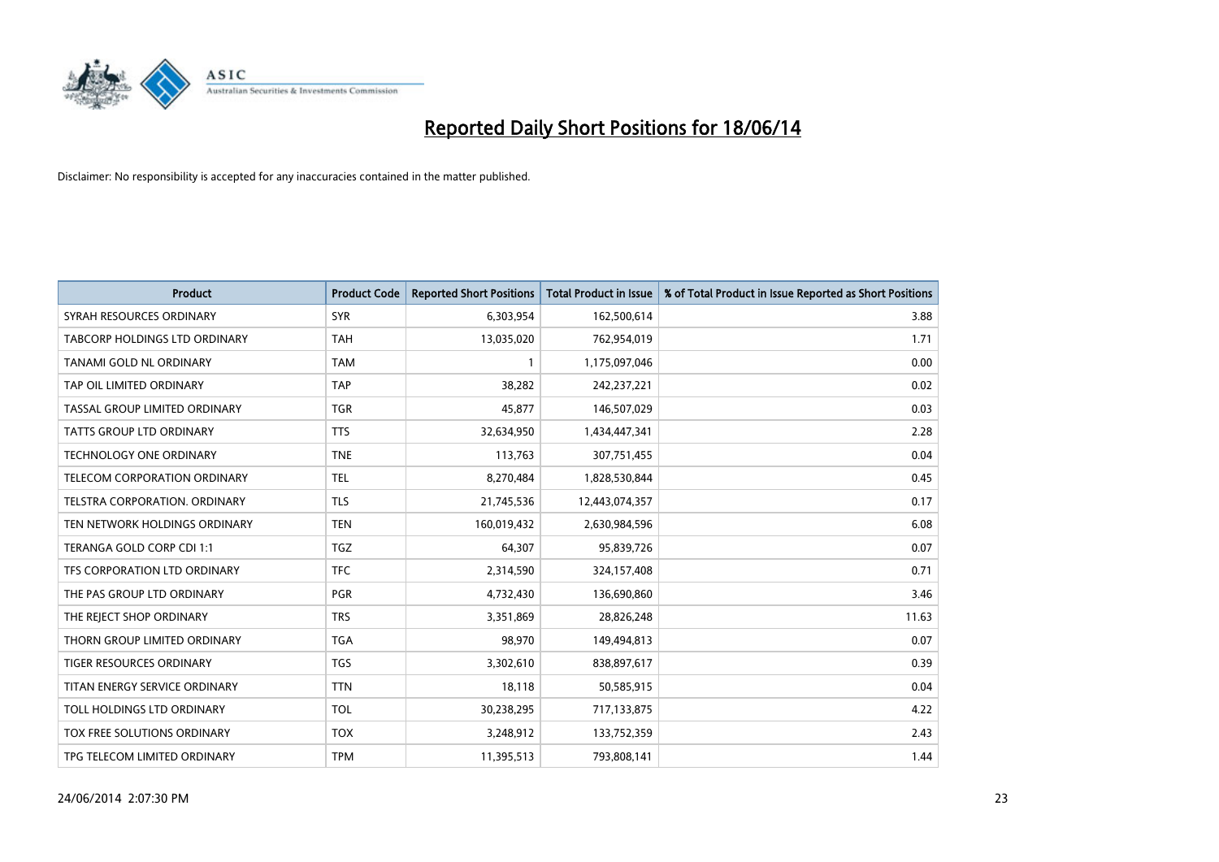

| <b>Product</b>                  | <b>Product Code</b> | <b>Reported Short Positions</b> | <b>Total Product in Issue</b> | % of Total Product in Issue Reported as Short Positions |
|---------------------------------|---------------------|---------------------------------|-------------------------------|---------------------------------------------------------|
| SYRAH RESOURCES ORDINARY        | <b>SYR</b>          | 6,303,954                       | 162,500,614                   | 3.88                                                    |
| TABCORP HOLDINGS LTD ORDINARY   | <b>TAH</b>          | 13,035,020                      | 762,954,019                   | 1.71                                                    |
| TANAMI GOLD NL ORDINARY         | <b>TAM</b>          | $\mathbf{1}$                    | 1,175,097,046                 | 0.00                                                    |
| TAP OIL LIMITED ORDINARY        | <b>TAP</b>          | 38,282                          | 242,237,221                   | 0.02                                                    |
| TASSAL GROUP LIMITED ORDINARY   | <b>TGR</b>          | 45,877                          | 146,507,029                   | 0.03                                                    |
| <b>TATTS GROUP LTD ORDINARY</b> | <b>TTS</b>          | 32,634,950                      | 1,434,447,341                 | 2.28                                                    |
| <b>TECHNOLOGY ONE ORDINARY</b>  | <b>TNE</b>          | 113,763                         | 307,751,455                   | 0.04                                                    |
| TELECOM CORPORATION ORDINARY    | <b>TEL</b>          | 8,270,484                       | 1,828,530,844                 | 0.45                                                    |
| TELSTRA CORPORATION. ORDINARY   | <b>TLS</b>          | 21,745,536                      | 12,443,074,357                | 0.17                                                    |
| TEN NETWORK HOLDINGS ORDINARY   | <b>TEN</b>          | 160,019,432                     | 2,630,984,596                 | 6.08                                                    |
| TERANGA GOLD CORP CDI 1:1       | <b>TGZ</b>          | 64,307                          | 95,839,726                    | 0.07                                                    |
| TFS CORPORATION LTD ORDINARY    | <b>TFC</b>          | 2,314,590                       | 324,157,408                   | 0.71                                                    |
| THE PAS GROUP LTD ORDINARY      | <b>PGR</b>          | 4,732,430                       | 136,690,860                   | 3.46                                                    |
| THE REJECT SHOP ORDINARY        | <b>TRS</b>          | 3,351,869                       | 28,826,248                    | 11.63                                                   |
| THORN GROUP LIMITED ORDINARY    | <b>TGA</b>          | 98,970                          | 149,494,813                   | 0.07                                                    |
| <b>TIGER RESOURCES ORDINARY</b> | <b>TGS</b>          | 3,302,610                       | 838,897,617                   | 0.39                                                    |
| TITAN ENERGY SERVICE ORDINARY   | <b>TTN</b>          | 18,118                          | 50,585,915                    | 0.04                                                    |
| TOLL HOLDINGS LTD ORDINARY      | <b>TOL</b>          | 30,238,295                      | 717,133,875                   | 4.22                                                    |
| TOX FREE SOLUTIONS ORDINARY     | <b>TOX</b>          | 3,248,912                       | 133,752,359                   | 2.43                                                    |
| TPG TELECOM LIMITED ORDINARY    | <b>TPM</b>          | 11,395,513                      | 793,808,141                   | 1.44                                                    |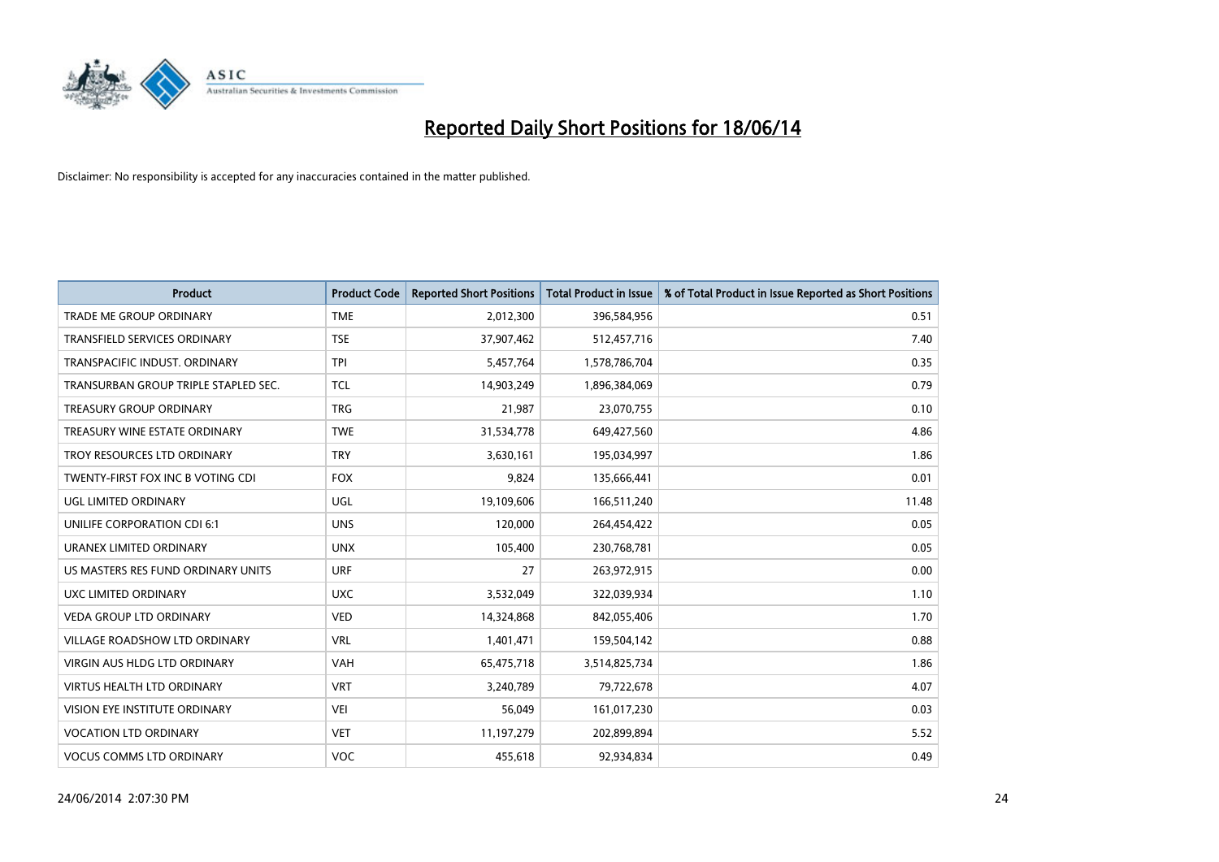

| <b>Product</b>                       | <b>Product Code</b> | <b>Reported Short Positions</b> | <b>Total Product in Issue</b> | % of Total Product in Issue Reported as Short Positions |
|--------------------------------------|---------------------|---------------------------------|-------------------------------|---------------------------------------------------------|
| <b>TRADE ME GROUP ORDINARY</b>       | <b>TME</b>          | 2,012,300                       | 396,584,956                   | 0.51                                                    |
| <b>TRANSFIELD SERVICES ORDINARY</b>  | <b>TSE</b>          | 37,907,462                      | 512,457,716                   | 7.40                                                    |
| TRANSPACIFIC INDUST, ORDINARY        | <b>TPI</b>          | 5,457,764                       | 1,578,786,704                 | 0.35                                                    |
| TRANSURBAN GROUP TRIPLE STAPLED SEC. | <b>TCL</b>          | 14,903,249                      | 1,896,384,069                 | 0.79                                                    |
| <b>TREASURY GROUP ORDINARY</b>       | <b>TRG</b>          | 21,987                          | 23,070,755                    | 0.10                                                    |
| TREASURY WINE ESTATE ORDINARY        | <b>TWE</b>          | 31,534,778                      | 649,427,560                   | 4.86                                                    |
| TROY RESOURCES LTD ORDINARY          | <b>TRY</b>          | 3,630,161                       | 195,034,997                   | 1.86                                                    |
| TWENTY-FIRST FOX INC B VOTING CDI    | <b>FOX</b>          | 9,824                           | 135,666,441                   | 0.01                                                    |
| <b>UGL LIMITED ORDINARY</b>          | UGL                 | 19,109,606                      | 166,511,240                   | 11.48                                                   |
| UNILIFE CORPORATION CDI 6:1          | <b>UNS</b>          | 120,000                         | 264,454,422                   | 0.05                                                    |
| URANEX LIMITED ORDINARY              | <b>UNX</b>          | 105,400                         | 230,768,781                   | 0.05                                                    |
| US MASTERS RES FUND ORDINARY UNITS   | <b>URF</b>          | 27                              | 263,972,915                   | 0.00                                                    |
| UXC LIMITED ORDINARY                 | <b>UXC</b>          | 3,532,049                       | 322,039,934                   | 1.10                                                    |
| <b>VEDA GROUP LTD ORDINARY</b>       | <b>VED</b>          | 14,324,868                      | 842,055,406                   | 1.70                                                    |
| <b>VILLAGE ROADSHOW LTD ORDINARY</b> | <b>VRL</b>          | 1,401,471                       | 159,504,142                   | 0.88                                                    |
| VIRGIN AUS HLDG LTD ORDINARY         | <b>VAH</b>          | 65,475,718                      | 3,514,825,734                 | 1.86                                                    |
| VIRTUS HEALTH LTD ORDINARY           | <b>VRT</b>          | 3,240,789                       | 79,722,678                    | 4.07                                                    |
| VISION EYE INSTITUTE ORDINARY        | <b>VEI</b>          | 56,049                          | 161,017,230                   | 0.03                                                    |
| <b>VOCATION LTD ORDINARY</b>         | <b>VET</b>          | 11,197,279                      | 202,899,894                   | 5.52                                                    |
| <b>VOCUS COMMS LTD ORDINARY</b>      | <b>VOC</b>          | 455,618                         | 92,934,834                    | 0.49                                                    |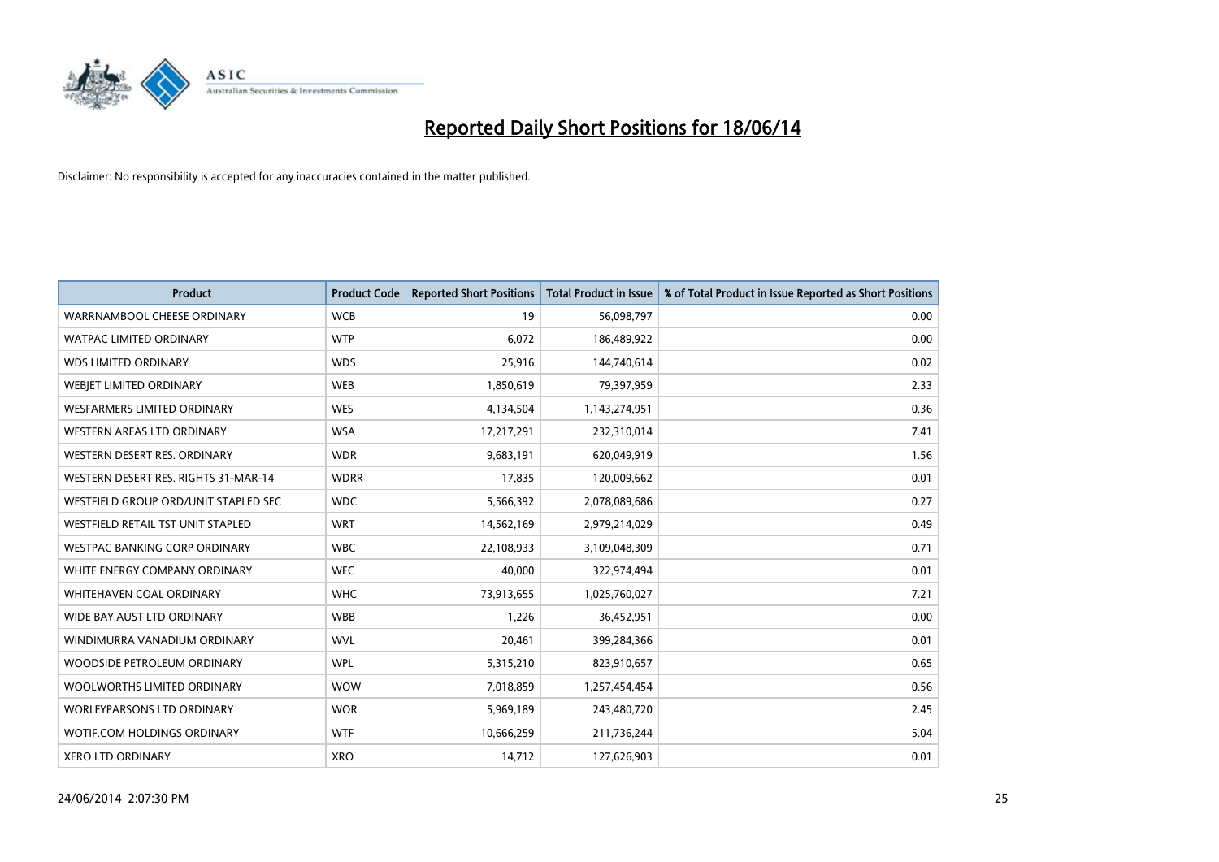

| <b>Product</b>                       | <b>Product Code</b> | <b>Reported Short Positions</b> | <b>Total Product in Issue</b> | % of Total Product in Issue Reported as Short Positions |
|--------------------------------------|---------------------|---------------------------------|-------------------------------|---------------------------------------------------------|
| WARRNAMBOOL CHEESE ORDINARY          | <b>WCB</b>          | 19                              | 56,098,797                    | 0.00                                                    |
| <b>WATPAC LIMITED ORDINARY</b>       | <b>WTP</b>          | 6,072                           | 186,489,922                   | 0.00                                                    |
| <b>WDS LIMITED ORDINARY</b>          | <b>WDS</b>          | 25,916                          | 144,740,614                   | 0.02                                                    |
| WEBIET LIMITED ORDINARY              | <b>WEB</b>          | 1,850,619                       | 79,397,959                    | 2.33                                                    |
| <b>WESFARMERS LIMITED ORDINARY</b>   | <b>WES</b>          | 4,134,504                       | 1,143,274,951                 | 0.36                                                    |
| WESTERN AREAS LTD ORDINARY           | <b>WSA</b>          | 17,217,291                      | 232,310,014                   | 7.41                                                    |
| WESTERN DESERT RES. ORDINARY         | <b>WDR</b>          | 9,683,191                       | 620,049,919                   | 1.56                                                    |
| WESTERN DESERT RES. RIGHTS 31-MAR-14 | <b>WDRR</b>         | 17,835                          | 120,009,662                   | 0.01                                                    |
| WESTFIELD GROUP ORD/UNIT STAPLED SEC | <b>WDC</b>          | 5,566,392                       | 2,078,089,686                 | 0.27                                                    |
| WESTFIELD RETAIL TST UNIT STAPLED    | <b>WRT</b>          | 14,562,169                      | 2,979,214,029                 | 0.49                                                    |
| WESTPAC BANKING CORP ORDINARY        | <b>WBC</b>          | 22,108,933                      | 3,109,048,309                 | 0.71                                                    |
| WHITE ENERGY COMPANY ORDINARY        | <b>WEC</b>          | 40,000                          | 322,974,494                   | 0.01                                                    |
| WHITEHAVEN COAL ORDINARY             | <b>WHC</b>          | 73,913,655                      | 1,025,760,027                 | 7.21                                                    |
| WIDE BAY AUST LTD ORDINARY           | <b>WBB</b>          | 1,226                           | 36,452,951                    | 0.00                                                    |
| WINDIMURRA VANADIUM ORDINARY         | <b>WVL</b>          | 20,461                          | 399,284,366                   | 0.01                                                    |
| WOODSIDE PETROLEUM ORDINARY          | <b>WPL</b>          | 5,315,210                       | 823,910,657                   | 0.65                                                    |
| WOOLWORTHS LIMITED ORDINARY          | <b>WOW</b>          | 7,018,859                       | 1,257,454,454                 | 0.56                                                    |
| WORLEYPARSONS LTD ORDINARY           | <b>WOR</b>          | 5,969,189                       | 243,480,720                   | 2.45                                                    |
| WOTIF.COM HOLDINGS ORDINARY          | <b>WTF</b>          | 10,666,259                      | 211,736,244                   | 5.04                                                    |
| <b>XERO LTD ORDINARY</b>             | <b>XRO</b>          | 14,712                          | 127,626,903                   | 0.01                                                    |